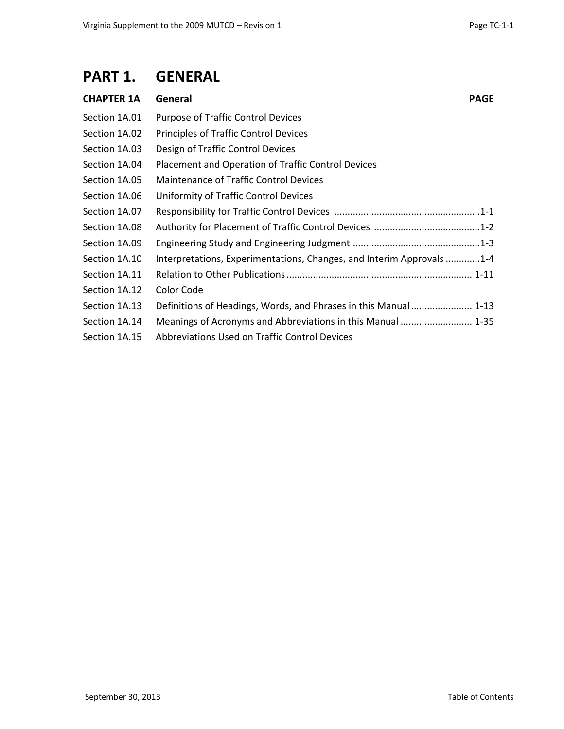## **PART 1. GENERAL**

| <b>CHAPTER 1A</b> | General                                                               | <b>PAGE</b> |
|-------------------|-----------------------------------------------------------------------|-------------|
| Section 1A.01     | <b>Purpose of Traffic Control Devices</b>                             |             |
| Section 1A.02     | <b>Principles of Traffic Control Devices</b>                          |             |
| Section 1A.03     | Design of Traffic Control Devices                                     |             |
| Section 1A.04     | <b>Placement and Operation of Traffic Control Devices</b>             |             |
| Section 1A.05     | <b>Maintenance of Traffic Control Devices</b>                         |             |
| Section 1A.06     | Uniformity of Traffic Control Devices                                 |             |
| Section 1A.07     |                                                                       |             |
| Section 1A.08     |                                                                       |             |
| Section 1A.09     |                                                                       |             |
| Section 1A.10     | Interpretations, Experimentations, Changes, and Interim Approvals 1-4 |             |
| Section 1A.11     |                                                                       |             |
| Section 1A.12     | Color Code                                                            |             |
| Section 1A.13     | Definitions of Headings, Words, and Phrases in this Manual 1-13       |             |
| Section 1A.14     | Meanings of Acronyms and Abbreviations in this Manual  1-35           |             |
| Section 1A.15     | Abbreviations Used on Traffic Control Devices                         |             |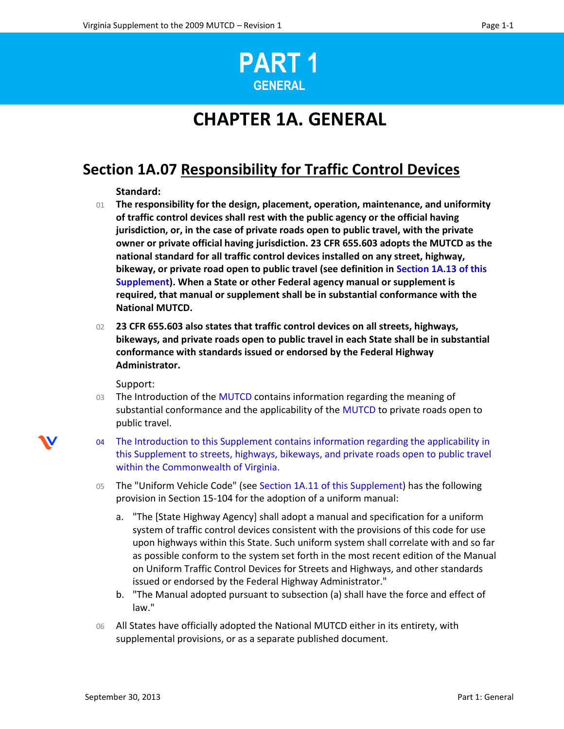

# **CHAPTER 1A. GENERAL**

## **Section 1A.07 Responsibility for Traffic Control Devices**

**Standard:**

- 01 **The responsibility for the design, placement, operation, maintenance, and uniformity of traffic control devices shall rest with the public agency or the official having jurisdiction, or, in the case of private roads open to public travel, with the private owner or private official having jurisdiction. 23 CFR 655.603 adopts the MUTCD as the national standard for all traffic control devices installed on any street, highway, bikeway, or private road open to public travel (see definition in [Section 1A.13](http://mutcd.fhwa.dot.gov/htm/2009/part1/part1a.htm#section1A13) of this Supplement). When a State or other Federal agency manual or supplement is required, that manual or supplement shall be in substantial conformance with the National MUTCD.**
- 02 **23 CFR 655.603 also states that traffic control devices on all streets, highways, bikeways, and private roads open to public travel in each State shall be in substantial conformance with standards issued or endorsed by the Federal Highway Administrator.**

Support:

- 03 The Introduction of the MUTCD contains information regarding the meaning of substantial conformance and the applicability of the MUTCD to private roads open to public travel.
- 04 The Introduction to this Supplement contains information regarding the applicability in this Supplement to streets, highways, bikeways, and private roads open to public travel within the Commonwealth of Virginia.
- 05 The "Uniform Vehicle Code" (see [Section 1A.11](http://mutcd.fhwa.dot.gov/htm/2009/part1/part1a.htm#section1A11) of this Supplement) has the following provision in Section 15-104 for the adoption of a uniform manual:
	- a. "The [State Highway Agency] shall adopt a manual and specification for a uniform system of traffic control devices consistent with the provisions of this code for use upon highways within this State. Such uniform system shall correlate with and so far as possible conform to the system set forth in the most recent edition of the Manual on Uniform Traffic Control Devices for Streets and Highways, and other standards issued or endorsed by the Federal Highway Administrator."
	- b. "The Manual adopted pursuant to subsection (a) shall have the force and effect of law."
- 06 All States have officially adopted the National MUTCD either in its entirety, with supplemental provisions, or as a separate published document.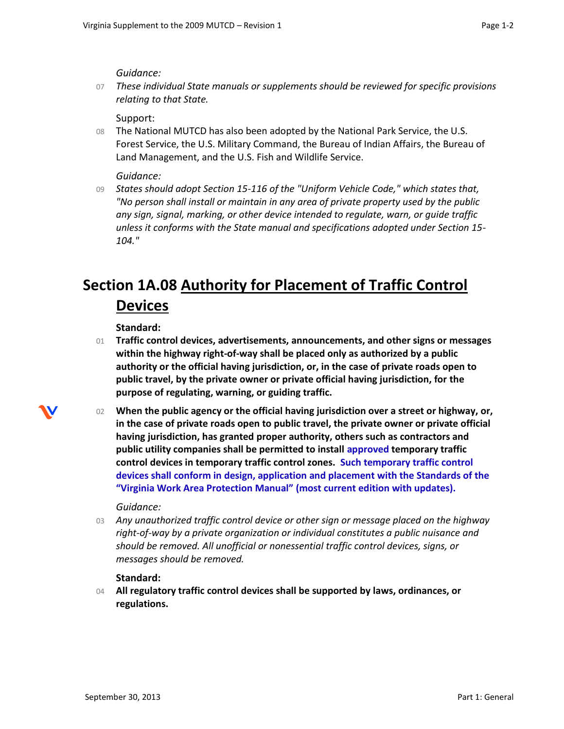*Guidance:*

07 *These individual State manuals or supplements should be reviewed for specific provisions relating to that State.*

Support:

08 The National MUTCD has also been adopted by the National Park Service, the U.S. Forest Service, the U.S. Military Command, the Bureau of Indian Affairs, the Bureau of Land Management, and the U.S. Fish and Wildlife Service.

*Guidance:*

09 *States should adopt Section 15-116 of the "Uniform Vehicle Code," which states that, "No person shall install or maintain in any area of private property used by the public any sign, signal, marking, or other device intended to regulate, warn, or guide traffic unless it conforms with the State manual and specifications adopted under Section 15- 104."*

# **Section 1A.08 Authority for Placement of Traffic Control Devices**

**Standard:**

- 01 **Traffic control devices, advertisements, announcements, and other signs or messages within the highway right-of-way shall be placed only as authorized by a public authority or the official having jurisdiction, or, in the case of private roads open to public travel, by the private owner or private official having jurisdiction, for the purpose of regulating, warning, or guiding traffic.**
- 02 **When the public agency or the official having jurisdiction over a street or highway, or, in the case of private roads open to public travel, the private owner or private official having jurisdiction, has granted proper authority, others such as contractors and public utility companies shall be permitted to install approved temporary traffic control devices in temporary traffic control zones. Such temporary traffic control devices shall conform in design, application and placement with the Standards of the "Virginia Work Area Protection Manual" (most current edition with updates).**

### *Guidance:*

03 *Any unauthorized traffic control device or other sign or message placed on the highway right-of-way by a private organization or individual constitutes a public nuisance and should be removed. All unofficial or nonessential traffic control devices, signs, or messages should be removed.*

### **Standard:**

04 **All regulatory traffic control devices shall be supported by laws, ordinances, or regulations.**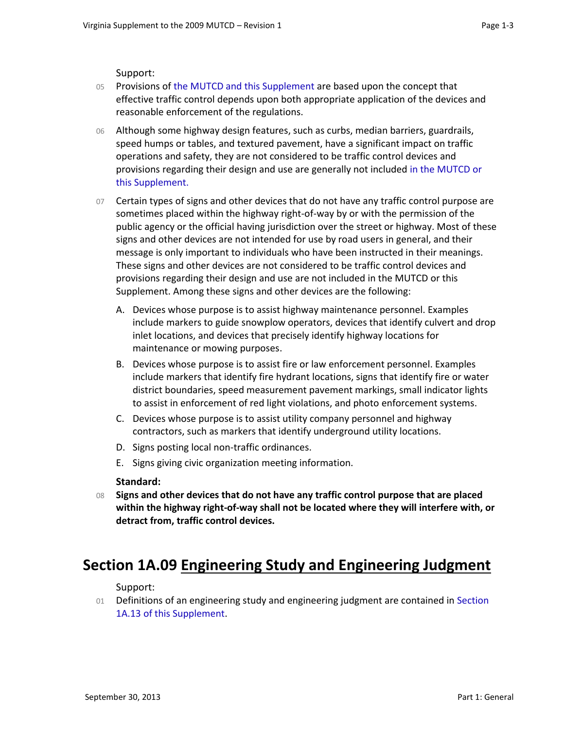Support:

- 05 Provisions of the MUTCD and this Supplement are based upon the concept that effective traffic control depends upon both appropriate application of the devices and reasonable enforcement of the regulations.
- 06 Although some highway design features, such as curbs, median barriers, guardrails, speed humps or tables, and textured pavement, have a significant impact on traffic operations and safety, they are not considered to be traffic control devices and provisions regarding their design and use are generally not included in the MUTCD or this Supplement.
- 07 Certain types of signs and other devices that do not have any traffic control purpose are sometimes placed within the highway right-of-way by or with the permission of the public agency or the official having jurisdiction over the street or highway. Most of these signs and other devices are not intended for use by road users in general, and their message is only important to individuals who have been instructed in their meanings. These signs and other devices are not considered to be traffic control devices and provisions regarding their design and use are not included in the MUTCD or this Supplement. Among these signs and other devices are the following:
	- A. Devices whose purpose is to assist highway maintenance personnel. Examples include markers to guide snowplow operators, devices that identify culvert and drop inlet locations, and devices that precisely identify highway locations for maintenance or mowing purposes.
	- B. Devices whose purpose is to assist fire or law enforcement personnel. Examples include markers that identify fire hydrant locations, signs that identify fire or water district boundaries, speed measurement pavement markings, small indicator lights to assist in enforcement of red light violations, and photo enforcement systems.
	- C. Devices whose purpose is to assist utility company personnel and highway contractors, such as markers that identify underground utility locations.
	- D. Signs posting local non-traffic ordinances.
	- E. Signs giving civic organization meeting information.

#### **Standard:**

08 **Signs and other devices that do not have any traffic control purpose that are placed within the highway right-of-way shall not be located where they will interfere with, or detract from, traffic control devices.**

## **Section 1A.09 Engineering Study and Engineering Judgment**

#### Support:

01 Definitions of an engineering study and engineering judgment are contained in [Section](http://www.mutcd.fhwa.dot.gov/htm/2009/part1/part1a.htm#section1A13)  [1A.13](http://www.mutcd.fhwa.dot.gov/htm/2009/part1/part1a.htm#section1A13) of this Supplement.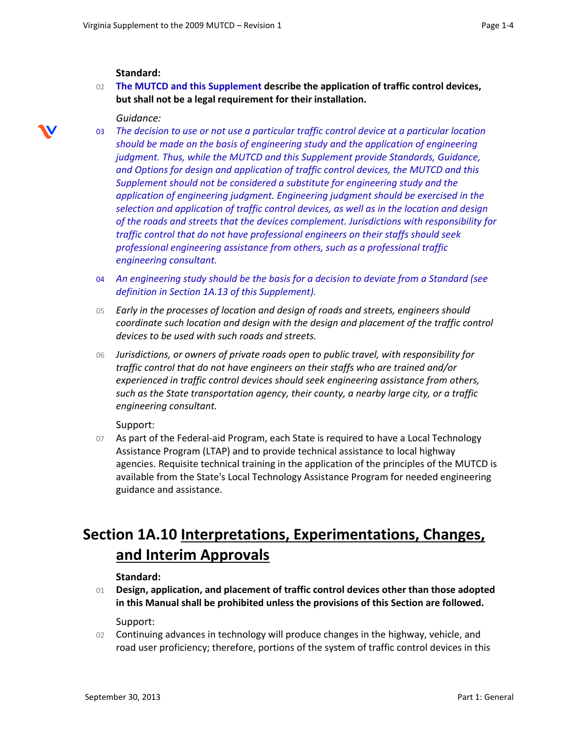#### **Standard:**

02 **The MUTCD and this Supplement describe the application of traffic control devices, but shall not be a legal requirement for their installation.**

#### *Guidance:*

- 03 *The decision to use or not use a particular traffic control device at a particular location should be made on the basis of engineering study and the application of engineering judgment. Thus, while the MUTCD and this Supplement provide Standards, Guidance, and Options for design and application of traffic control devices, the MUTCD and this Supplement should not be considered a substitute for engineering study and the application of engineering judgment. Engineering judgment should be exercised in the selection and application of traffic control devices, as well as in the location and design of the roads and streets that the devices complement. Jurisdictions with responsibility for traffic control that do not have professional engineers on their staffs should seek professional engineering assistance from others, such as a professional traffic engineering consultant.*
- 04 *An engineering study should be the basis for a decision to deviate from a Standard (see definition in Section 1A.13 of this Supplement).*
- 05 *Early in the processes of location and design of roads and streets, engineers should coordinate such location and design with the design and placement of the traffic control devices to be used with such roads and streets.*
- 06 *Jurisdictions, or owners of private roads open to public travel, with responsibility for traffic control that do not have engineers on their staffs who are trained and/or experienced in traffic control devices should seek engineering assistance from others, such as the State transportation agency, their county, a nearby large city, or a traffic engineering consultant.*

#### Support:

07 As part of the Federal-aid Program, each State is required to have a Local Technology Assistance Program (LTAP) and to provide technical assistance to local highway agencies. Requisite technical training in the application of the principles of the MUTCD is available from the State's Local Technology Assistance Program for needed engineering guidance and assistance.

## **Section 1A.10 Interpretations, Experimentations, Changes, and Interim Approvals**

#### **Standard:**

01 **Design, application, and placement of traffic control devices other than those adopted in this Manual shall be prohibited unless the provisions of this Section are followed.**

#### Support:

02 Continuing advances in technology will produce changes in the highway, vehicle, and road user proficiency; therefore, portions of the system of traffic control devices in this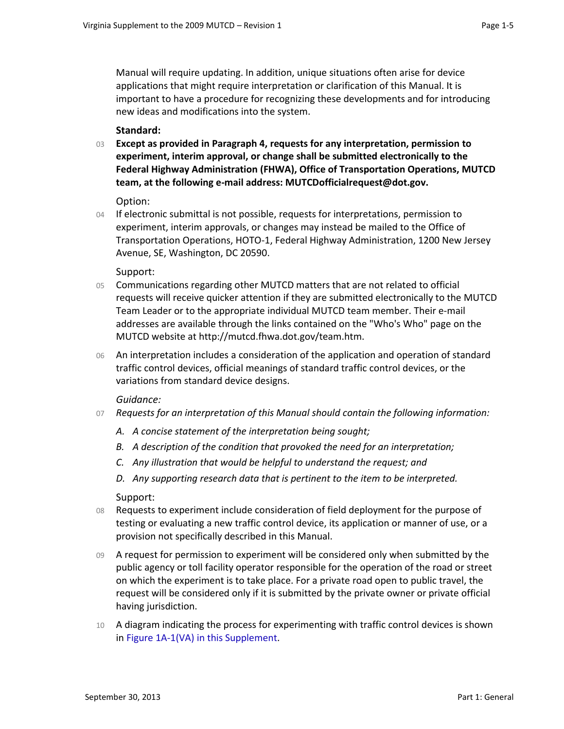Manual will require updating. In addition, unique situations often arise for device applications that might require interpretation or clarification of this Manual. It is important to have a procedure for recognizing these developments and for introducing new ideas and modifications into the system.

#### **Standard:**

03 **Except as provided in Paragraph 4, requests for any interpretation, permission to experiment, interim approval, or change shall be submitted electronically to the Federal Highway Administration (FHWA), Office of Transportation Operations, MUTCD team, at the following e-mail address: MUTCDofficialrequest@dot.gov.**

Option:

04 If electronic submittal is not possible, requests for interpretations, permission to experiment, interim approvals, or changes may instead be mailed to the Office of Transportation Operations, HOTO-1, Federal Highway Administration, 1200 New Jersey Avenue, SE, Washington, DC 20590.

#### Support:

- 05 Communications regarding other MUTCD matters that are not related to official requests will receive quicker attention if they are submitted electronically to the MUTCD Team Leader or to the appropriate individual MUTCD team member. Their e-mail addresses are available through the links contained on the "Who's Who" page on the MUTCD website at http://mutcd.fhwa.dot.gov/team.htm.
- 06 An interpretation includes a consideration of the application and operation of standard traffic control devices, official meanings of standard traffic control devices, or the variations from standard device designs.

### *Guidance:*

- 07 *Requests for an interpretation of this Manual should contain the following information:*
	- *A. A concise statement of the interpretation being sought;*
	- *B. A description of the condition that provoked the need for an interpretation;*
	- *C. Any illustration that would be helpful to understand the request; and*
	- *D. Any supporting research data that is pertinent to the item to be interpreted.*

Support:

- 08 Requests to experiment include consideration of field deployment for the purpose of testing or evaluating a new traffic control device, its application or manner of use, or a provision not specifically described in this Manual.
- 09 A request for permission to experiment will be considered only when submitted by the public agency or toll facility operator responsible for the operation of the road or street on which the experiment is to take place. For a private road open to public travel, the request will be considered only if it is submitted by the private owner or private official having jurisdiction.
- 10 A diagram indicating the process for experimenting with traffic control devices is shown in Figure 1A-1(VA) in this Supplement.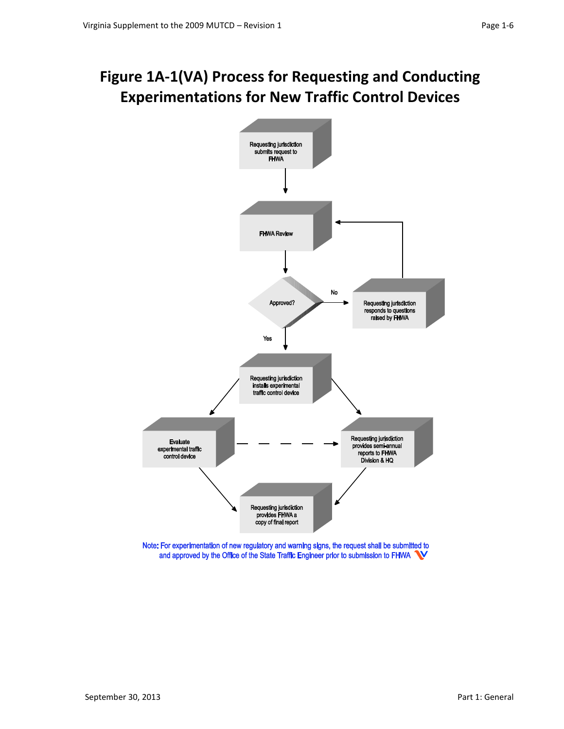# **Figure 1A-1(VA) Process for Requesting and Conducting Experimentations for New Traffic Control Devices**



Note: For experimentation of new regulatory and warning signs, the request shall be submitted to and approved by the Office of the State Traffic Engineer prior to submission to FHWA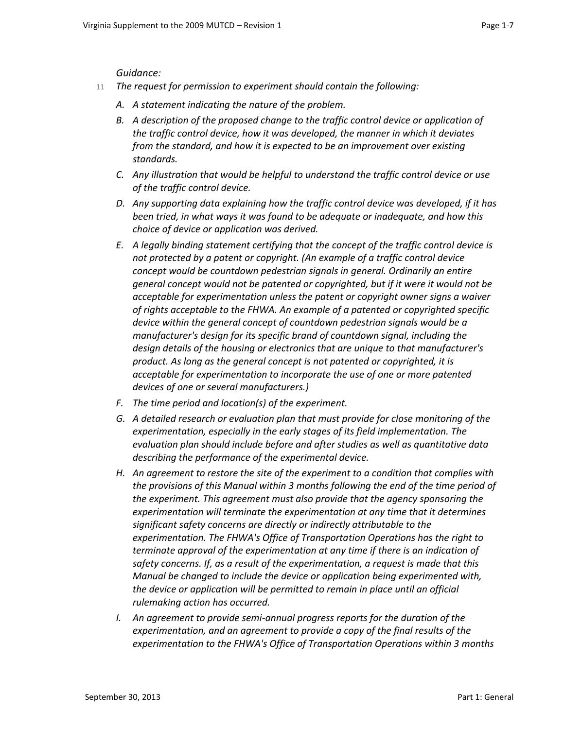### *Guidance:*

- 11 *The request for permission to experiment should contain the following:*
	- *A. A statement indicating the nature of the problem.*
	- *B. A description of the proposed change to the traffic control device or application of the traffic control device, how it was developed, the manner in which it deviates from the standard, and how it is expected to be an improvement over existing standards.*
	- *C. Any illustration that would be helpful to understand the traffic control device or use of the traffic control device.*
	- *D. Any supporting data explaining how the traffic control device was developed, if it has been tried, in what ways it was found to be adequate or inadequate, and how this choice of device or application was derived.*
	- *E. A legally binding statement certifying that the concept of the traffic control device is not protected by a patent or copyright. (An example of a traffic control device concept would be countdown pedestrian signals in general. Ordinarily an entire general concept would not be patented or copyrighted, but if it were it would not be acceptable for experimentation unless the patent or copyright owner signs a waiver of rights acceptable to the FHWA. An example of a patented or copyrighted specific device within the general concept of countdown pedestrian signals would be a manufacturer's design for its specific brand of countdown signal, including the design details of the housing or electronics that are unique to that manufacturer's product. As long as the general concept is not patented or copyrighted, it is acceptable for experimentation to incorporate the use of one or more patented devices of one or several manufacturers.)*
	- *F. The time period and location(s) of the experiment.*
	- *G. A detailed research or evaluation plan that must provide for close monitoring of the experimentation, especially in the early stages of its field implementation. The evaluation plan should include before and after studies as well as quantitative data describing the performance of the experimental device.*
	- *H. An agreement to restore the site of the experiment to a condition that complies with the provisions of this Manual within 3 months following the end of the time period of the experiment. This agreement must also provide that the agency sponsoring the experimentation will terminate the experimentation at any time that it determines significant safety concerns are directly or indirectly attributable to the experimentation. The FHWA's Office of Transportation Operations has the right to terminate approval of the experimentation at any time if there is an indication of safety concerns. If, as a result of the experimentation, a request is made that this Manual be changed to include the device or application being experimented with, the device or application will be permitted to remain in place until an official rulemaking action has occurred.*
	- *I. An agreement to provide semi-annual progress reports for the duration of the experimentation, and an agreement to provide a copy of the final results of the experimentation to the FHWA's Office of Transportation Operations within 3 months*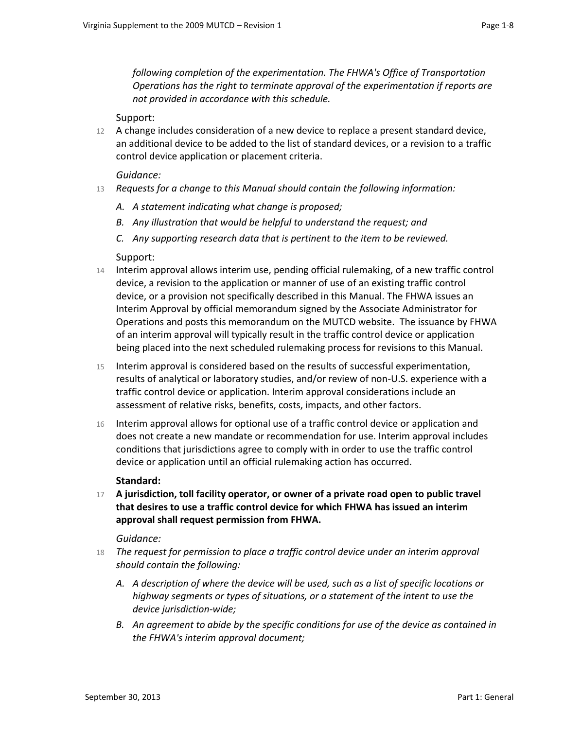*following completion of the experimentation. The FHWA's Office of Transportation Operations has the right to terminate approval of the experimentation if reports are not provided in accordance with this schedule.* 

Support:

12 A change includes consideration of a new device to replace a present standard device, an additional device to be added to the list of standard devices, or a revision to a traffic control device application or placement criteria.

*Guidance:*

- 13 *Requests for a change to this Manual should contain the following information:*
	- *A. A statement indicating what change is proposed;*
	- *B. Any illustration that would be helpful to understand the request; and*
	- *C. Any supporting research data that is pertinent to the item to be reviewed.*

Support:

- 14 Interim approval allows interim use, pending official rulemaking, of a new traffic control device, a revision to the application or manner of use of an existing traffic control device, or a provision not specifically described in this Manual. The FHWA issues an Interim Approval by official memorandum signed by the Associate Administrator for Operations and posts this memorandum on the MUTCD website. The issuance by FHWA of an interim approval will typically result in the traffic control device or application being placed into the next scheduled rulemaking process for revisions to this Manual.
- 15 Interim approval is considered based on the results of successful experimentation, results of analytical or laboratory studies, and/or review of non-U.S. experience with a traffic control device or application. Interim approval considerations include an assessment of relative risks, benefits, costs, impacts, and other factors.
- 16 Interim approval allows for optional use of a traffic control device or application and does not create a new mandate or recommendation for use. Interim approval includes conditions that jurisdictions agree to comply with in order to use the traffic control device or application until an official rulemaking action has occurred.

#### **Standard:**

17 **A jurisdiction, toll facility operator, or owner of a private road open to public travel that desires to use a traffic control device for which FHWA has issued an interim approval shall request permission from FHWA.**

#### *Guidance:*

- 18 *The request for permission to place a traffic control device under an interim approval should contain the following:*
	- *A. A description of where the device will be used, such as a list of specific locations or highway segments or types of situations, or a statement of the intent to use the device jurisdiction-wide;*
	- *B. An agreement to abide by the specific conditions for use of the device as contained in the FHWA's interim approval document;*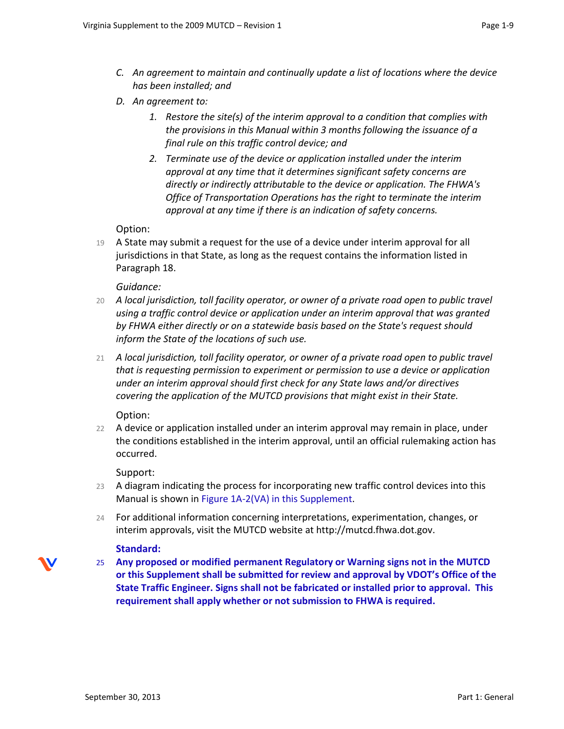- *C. An agreement to maintain and continually update a list of locations where the device has been installed; and*
- *D. An agreement to:* 
	- *1. Restore the site(s) of the interim approval to a condition that complies with the provisions in this Manual within 3 months following the issuance of a final rule on this traffic control device; and*
	- *2. Terminate use of the device or application installed under the interim approval at any time that it determines significant safety concerns are directly or indirectly attributable to the device or application. The FHWA's Office of Transportation Operations has the right to terminate the interim approval at any time if there is an indication of safety concerns.*

Option:

19 A State may submit a request for the use of a device under interim approval for all jurisdictions in that State, as long as the request contains the information listed in Paragraph 18.

### *Guidance:*

- 20 *A local jurisdiction, toll facility operator, or owner of a private road open to public travel using a traffic control device or application under an interim approval that was granted by FHWA either directly or on a statewide basis based on the State's request should inform the State of the locations of such use.*
- 21 *A local jurisdiction, toll facility operator, or owner of a private road open to public travel that is requesting permission to experiment or permission to use a device or application under an interim approval should first check for any State laws and/or directives covering the application of the MUTCD provisions that might exist in their State.*

Option:

22 A device or application installed under an interim approval may remain in place, under the conditions established in the interim approval, until an official rulemaking action has occurred.

Support:

- 23 A diagram indicating the process for incorporating new traffic control devices into this Manual is shown in Figure 1A-2(VA) in this Supplement.
- 24 For additional information concerning interpretations, experimentation, changes, or interim approvals, visit the MUTCD website at http://mutcd.fhwa.dot.gov.

### **Standard:**

25 **Any proposed or modified permanent Regulatory or Warning signs not in the MUTCD or this Supplement shall be submitted for review and approval by VDOT's Office of the State Traffic Engineer. Signs shall not be fabricated or installed prior to approval. This requirement shall apply whether or not submission to FHWA is required.**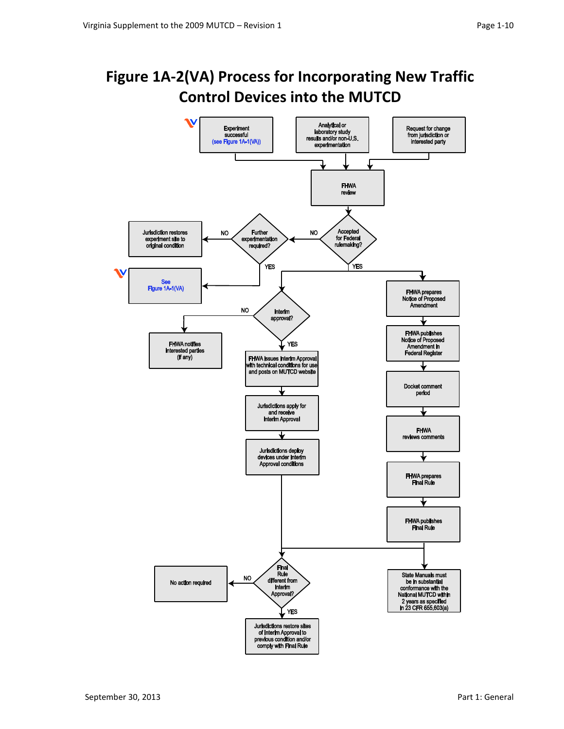# **Figure 1A-2(VA) Process for Incorporating New Traffic Control Devices into the MUTCD**

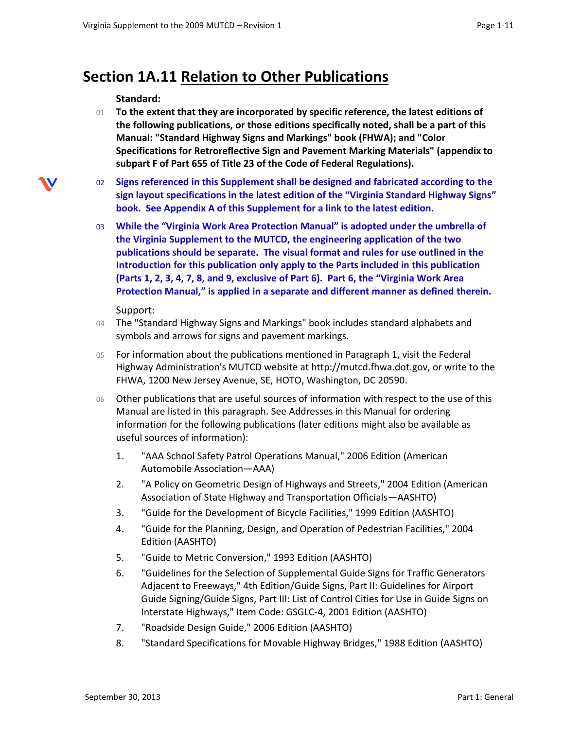## **Section 1A.11 Relation to Other Publications**

#### **Standard:**

01 **To the extent that they are incorporated by specific reference, the latest editions of the following publications, or those editions specifically noted, shall be a part of this Manual: "Standard Highway Signs and Markings" book (FHWA); and "Color Specifications for Retroreflective Sign and Pavement Marking Materials" (appendix to subpart F of Part 655 of Title 23 of the Code of Federal Regulations).**

02 **Signs referenced in this Supplement shall be designed and fabricated according to the sign layout specifications in the latest edition of the "Virginia Standard Highway Signs" book. See Appendix A of this Supplement for a link to the latest edition.**

03 **While the "Virginia Work Area Protection Manual" is adopted under the umbrella of the Virginia Supplement to the MUTCD, the engineering application of the two publications should be separate. The visual format and rules for use outlined in the Introduction for this publication only apply to the Parts included in this publication (Parts 1, 2, 3, 4, 7, 8, and 9, exclusive of Part 6). Part 6, the "Virginia Work Area Protection Manual," is applied in a separate and different manner as defined therein.**

Support:

- 04 The "Standard Highway Signs and Markings" book includes standard alphabets and symbols and arrows for signs and pavement markings.
- 05 For information about the publications mentioned in Paragraph 1, visit the Federal Highway Administration's MUTCD website at http://mutcd.fhwa.dot.gov, or write to the FHWA, 1200 New Jersey Avenue, SE, HOTO, Washington, DC 20590.
- 06 Other publications that are useful sources of information with respect to the use of this Manual are listed in this paragraph. See Addresses in this Manual for ordering information for the following publications (later editions might also be available as useful sources of information):
	- 1. "AAA School Safety Patrol Operations Manual," 2006 Edition (American Automobile Association—AAA)
	- 2. "A Policy on Geometric Design of Highways and Streets," 2004 Edition (American Association of State Highway and Transportation Officials—AASHTO)
	- 3. "Guide for the Development of Bicycle Facilities," 1999 Edition (AASHTO)
	- 4. "Guide for the Planning, Design, and Operation of Pedestrian Facilities," 2004 Edition (AASHTO)
	- 5. "Guide to Metric Conversion," 1993 Edition (AASHTO)
	- 6. "Guidelines for the Selection of Supplemental Guide Signs for Traffic Generators Adjacent to Freeways," 4th Edition/Guide Signs, Part II: Guidelines for Airport Guide Signing/Guide Signs, Part III: List of Control Cities for Use in Guide Signs on Interstate Highways," Item Code: GSGLC-4, 2001 Edition (AASHTO)
	- 7. "Roadside Design Guide," 2006 Edition (AASHTO)
	- 8. "Standard Specifications for Movable Highway Bridges," 1988 Edition (AASHTO)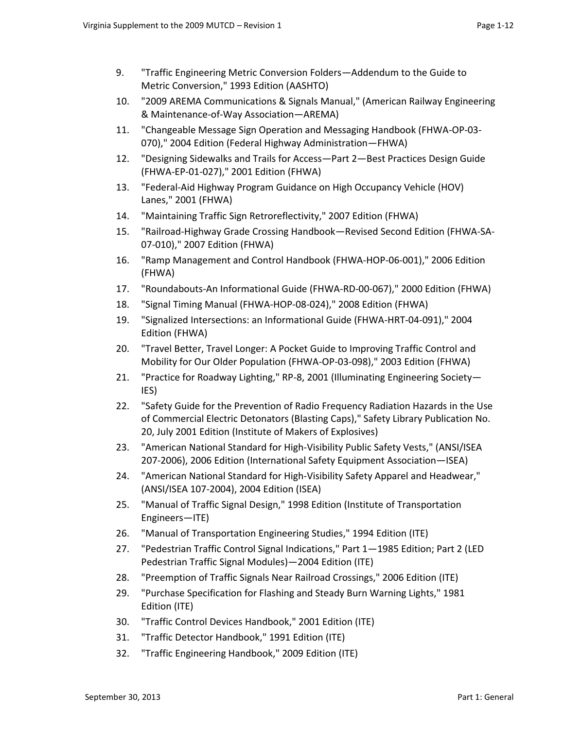- 9. "Traffic Engineering Metric Conversion Folders—Addendum to the Guide to Metric Conversion," 1993 Edition (AASHTO)
- 10. "2009 AREMA Communications & Signals Manual," (American Railway Engineering & Maintenance-of-Way Association—AREMA)
- 11. "Changeable Message Sign Operation and Messaging Handbook (FHWA-OP-03- 070)," 2004 Edition (Federal Highway Administration—FHWA)
- 12. "Designing Sidewalks and Trails for Access—Part 2—Best Practices Design Guide (FHWA-EP-01-027)," 2001 Edition (FHWA)
- 13. "Federal-Aid Highway Program Guidance on High Occupancy Vehicle (HOV) Lanes," 2001 (FHWA)
- 14. "Maintaining Traffic Sign Retroreflectivity," 2007 Edition (FHWA)
- 15. "Railroad-Highway Grade Crossing Handbook—Revised Second Edition (FHWA-SA-07-010)," 2007 Edition (FHWA)
- 16. "Ramp Management and Control Handbook (FHWA-HOP-06-001)," 2006 Edition (FHWA)
- 17. "Roundabouts-An Informational Guide (FHWA-RD-00-067)," 2000 Edition (FHWA)
- 18. "Signal Timing Manual (FHWA-HOP-08-024)," 2008 Edition (FHWA)
- 19. "Signalized Intersections: an Informational Guide (FHWA-HRT-04-091)," 2004 Edition (FHWA)
- 20. "Travel Better, Travel Longer: A Pocket Guide to Improving Traffic Control and Mobility for Our Older Population (FHWA-OP-03-098)," 2003 Edition (FHWA)
- 21. "Practice for Roadway Lighting," RP-8, 2001 (Illuminating Engineering Society— IES)
- 22. "Safety Guide for the Prevention of Radio Frequency Radiation Hazards in the Use of Commercial Electric Detonators (Blasting Caps)," Safety Library Publication No. 20, July 2001 Edition (Institute of Makers of Explosives)
- 23. "American National Standard for High-Visibility Public Safety Vests," (ANSI/ISEA 207-2006), 2006 Edition (International Safety Equipment Association—ISEA)
- 24. "American National Standard for High-Visibility Safety Apparel and Headwear," (ANSI/ISEA 107-2004), 2004 Edition (ISEA)
- 25. "Manual of Traffic Signal Design," 1998 Edition (Institute of Transportation Engineers—ITE)
- 26. "Manual of Transportation Engineering Studies," 1994 Edition (ITE)
- 27. "Pedestrian Traffic Control Signal Indications," Part 1—1985 Edition; Part 2 (LED Pedestrian Traffic Signal Modules)—2004 Edition (ITE)
- 28. "Preemption of Traffic Signals Near Railroad Crossings," 2006 Edition (ITE)
- 29. "Purchase Specification for Flashing and Steady Burn Warning Lights," 1981 Edition (ITE)
- 30. "Traffic Control Devices Handbook," 2001 Edition (ITE)
- 31. "Traffic Detector Handbook," 1991 Edition (ITE)
- 32. "Traffic Engineering Handbook," 2009 Edition (ITE)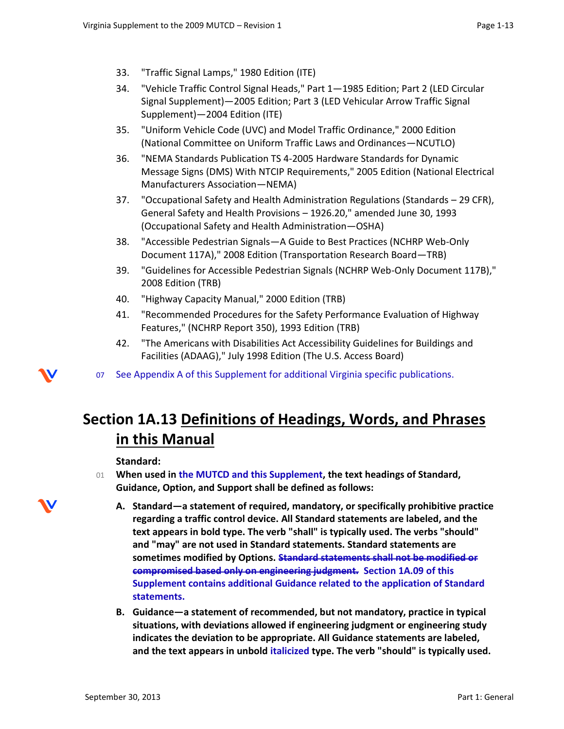- 33. "Traffic Signal Lamps," 1980 Edition (ITE)
- 34. "Vehicle Traffic Control Signal Heads," Part 1—1985 Edition; Part 2 (LED Circular Signal Supplement)—2005 Edition; Part 3 (LED Vehicular Arrow Traffic Signal Supplement)—2004 Edition (ITE)
- 35. "Uniform Vehicle Code (UVC) and Model Traffic Ordinance," 2000 Edition (National Committee on Uniform Traffic Laws and Ordinances—NCUTLO)
- 36. "NEMA Standards Publication TS 4-2005 Hardware Standards for Dynamic Message Signs (DMS) With NTCIP Requirements," 2005 Edition (National Electrical Manufacturers Association—NEMA)
- 37. "Occupational Safety and Health Administration Regulations (Standards 29 CFR), General Safety and Health Provisions – 1926.20," amended June 30, 1993 (Occupational Safety and Health Administration—OSHA)
- 38. "Accessible Pedestrian Signals—A Guide to Best Practices (NCHRP Web-Only Document 117A)," 2008 Edition (Transportation Research Board—TRB)
- 39. "Guidelines for Accessible Pedestrian Signals (NCHRP Web-Only Document 117B)," 2008 Edition (TRB)
- 40. "Highway Capacity Manual," 2000 Edition (TRB)
- 41. "Recommended Procedures for the Safety Performance Evaluation of Highway Features," (NCHRP Report 350), 1993 Edition (TRB)
- 42. "The Americans with Disabilities Act Accessibility Guidelines for Buildings and Facilities (ADAAG)," July 1998 Edition (The U.S. Access Board)
- 07 See Appendix A of this Supplement for additional Virginia specific publications.

## **Section 1A.13 Definitions of Headings, Words, and Phrases in this Manual**

### **Standard:**

- 01 **When used in the MUTCD and this Supplement, the text headings of Standard, Guidance, Option, and Support shall be defined as follows:**
	- **A. Standard—a statement of required, mandatory, or specifically prohibitive practice regarding a traffic control device. All Standard statements are labeled, and the text appears in bold type. The verb "shall" is typically used. The verbs "should" and "may" are not used in Standard statements. Standard statements are sometimes modified by Options. Standard statements shall not be modified or compromised based only on engineering judgment. Section 1A.09 of this Supplement contains additional Guidance related to the application of Standard statements.**
	- **B. Guidance—a statement of recommended, but not mandatory, practice in typical situations, with deviations allowed if engineering judgment or engineering study indicates the deviation to be appropriate. All Guidance statements are labeled, and the text appears in unbold italicized type. The verb "should" is typically used.**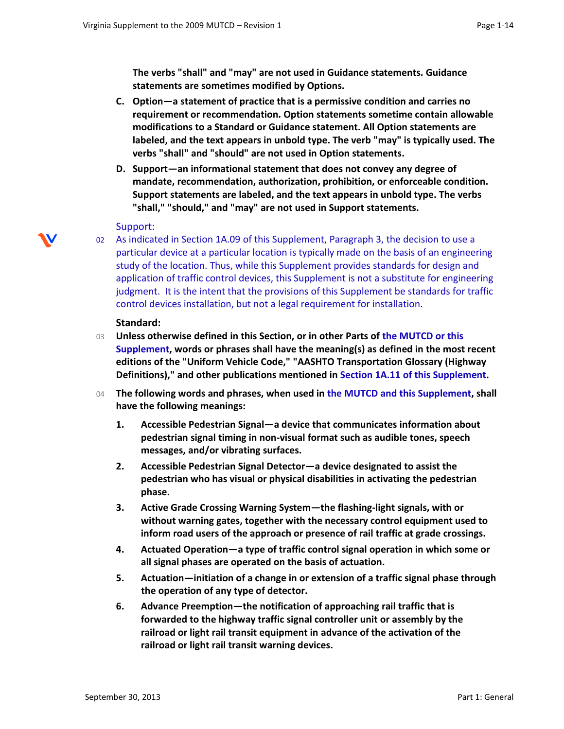**The verbs "shall" and "may" are not used in Guidance statements. Guidance statements are sometimes modified by Options.** 

- **C. Option—a statement of practice that is a permissive condition and carries no requirement or recommendation. Option statements sometime contain allowable modifications to a Standard or Guidance statement. All Option statements are labeled, and the text appears in unbold type. The verb "may" is typically used. The verbs "shall" and "should" are not used in Option statements.**
- **D. Support—an informational statement that does not convey any degree of mandate, recommendation, authorization, prohibition, or enforceable condition. Support statements are labeled, and the text appears in unbold type. The verbs "shall," "should," and "may" are not used in Support statements.**

#### Support:

02 As indicated in Section 1A.09 of this Supplement, Paragraph 3, the decision to use a particular device at a particular location is typically made on the basis of an engineering study of the location. Thus, while this Supplement provides standards for design and application of traffic control devices, this Supplement is not a substitute for engineering judgment. It is the intent that the provisions of this Supplement be standards for traffic control devices installation, but not a legal requirement for installation.

#### **Standard:**

- 03 **Unless otherwise defined in this Section, or in other Parts of the MUTCD or this Supplement, words or phrases shall have the meaning(s) as defined in the most recent editions of the "Uniform Vehicle Code," "AASHTO Transportation Glossary (Highway Definitions)," and other publications mentioned in Section 1A.11 of this Supplement.**
- 04 **The following words and phrases, when used in the MUTCD and this Supplement, shall have the following meanings:**
	- **1. Accessible Pedestrian Signal—a device that communicates information about pedestrian signal timing in non-visual format such as audible tones, speech messages, and/or vibrating surfaces.**
	- **2. Accessible Pedestrian Signal Detector—a device designated to assist the pedestrian who has visual or physical disabilities in activating the pedestrian phase.**
	- **3. Active Grade Crossing Warning System—the flashing-light signals, with or without warning gates, together with the necessary control equipment used to inform road users of the approach or presence of rail traffic at grade crossings.**
	- **4. Actuated Operation—a type of traffic control signal operation in which some or all signal phases are operated on the basis of actuation.**
	- **5. Actuation—initiation of a change in or extension of a traffic signal phase through the operation of any type of detector.**
	- **6. Advance Preemption—the notification of approaching rail traffic that is forwarded to the highway traffic signal controller unit or assembly by the railroad or light rail transit equipment in advance of the activation of the railroad or light rail transit warning devices.**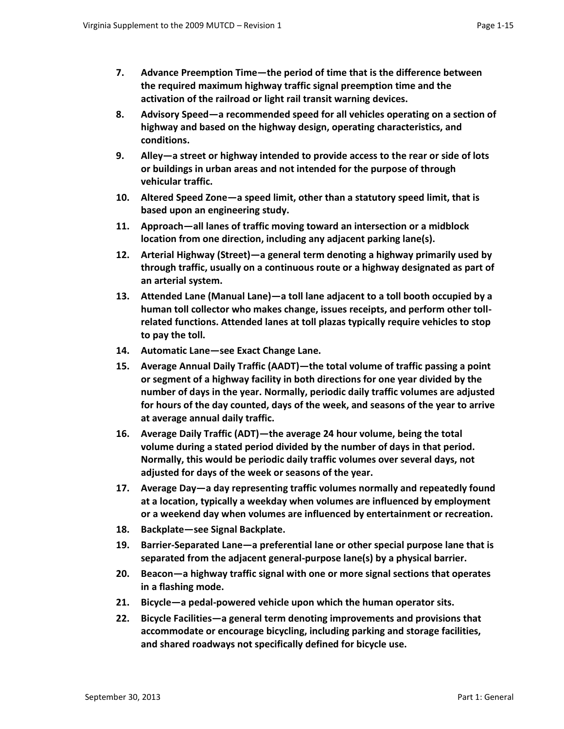- **7. Advance Preemption Time—the period of time that is the difference between the required maximum highway traffic signal preemption time and the activation of the railroad or light rail transit warning devices.**
- **8. Advisory Speed—a recommended speed for all vehicles operating on a section of highway and based on the highway design, operating characteristics, and conditions.**
- **9. Alley—a street or highway intended to provide access to the rear or side of lots or buildings in urban areas and not intended for the purpose of through vehicular traffic.**
- **10. Altered Speed Zone—a speed limit, other than a statutory speed limit, that is based upon an engineering study.**
- **11. Approach—all lanes of traffic moving toward an intersection or a midblock location from one direction, including any adjacent parking lane(s).**
- **12. Arterial Highway (Street)—a general term denoting a highway primarily used by through traffic, usually on a continuous route or a highway designated as part of an arterial system.**
- **13. Attended Lane (Manual Lane)—a toll lane adjacent to a toll booth occupied by a human toll collector who makes change, issues receipts, and perform other tollrelated functions. Attended lanes at toll plazas typically require vehicles to stop to pay the toll.**
- **14. Automatic Lane—see Exact Change Lane.**
- **15. Average Annual Daily Traffic (AADT)—the total volume of traffic passing a point or segment of a highway facility in both directions for one year divided by the number of days in the year. Normally, periodic daily traffic volumes are adjusted for hours of the day counted, days of the week, and seasons of the year to arrive at average annual daily traffic.**
- **16. Average Daily Traffic (ADT)—the average 24 hour volume, being the total volume during a stated period divided by the number of days in that period. Normally, this would be periodic daily traffic volumes over several days, not adjusted for days of the week or seasons of the year.**
- **17. Average Day—a day representing traffic volumes normally and repeatedly found at a location, typically a weekday when volumes are influenced by employment or a weekend day when volumes are influenced by entertainment or recreation.**
- **18. Backplate—see Signal Backplate.**
- **19. Barrier-Separated Lane—a preferential lane or other special purpose lane that is separated from the adjacent general-purpose lane(s) by a physical barrier.**
- **20. Beacon—a highway traffic signal with one or more signal sections that operates in a flashing mode.**
- **21. Bicycle—a pedal-powered vehicle upon which the human operator sits.**
- **22. Bicycle Facilities—a general term denoting improvements and provisions that accommodate or encourage bicycling, including parking and storage facilities, and shared roadways not specifically defined for bicycle use.**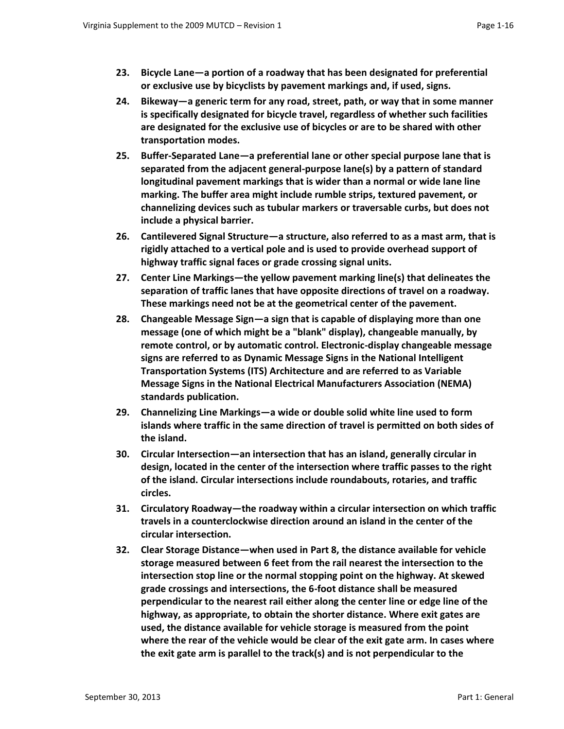- **23. Bicycle Lane—a portion of a roadway that has been designated for preferential or exclusive use by bicyclists by pavement markings and, if used, signs.**
- **24. Bikeway—a generic term for any road, street, path, or way that in some manner is specifically designated for bicycle travel, regardless of whether such facilities are designated for the exclusive use of bicycles or are to be shared with other transportation modes.**
- **25. Buffer-Separated Lane—a preferential lane or other special purpose lane that is separated from the adjacent general-purpose lane(s) by a pattern of standard longitudinal pavement markings that is wider than a normal or wide lane line marking. The buffer area might include rumble strips, textured pavement, or channelizing devices such as tubular markers or traversable curbs, but does not include a physical barrier.**
- **26. Cantilevered Signal Structure—a structure, also referred to as a mast arm, that is rigidly attached to a vertical pole and is used to provide overhead support of highway traffic signal faces or grade crossing signal units.**
- **27. Center Line Markings—the yellow pavement marking line(s) that delineates the separation of traffic lanes that have opposite directions of travel on a roadway. These markings need not be at the geometrical center of the pavement.**
- **28. Changeable Message Sign—a sign that is capable of displaying more than one message (one of which might be a "blank" display), changeable manually, by remote control, or by automatic control. Electronic-display changeable message signs are referred to as Dynamic Message Signs in the National Intelligent Transportation Systems (ITS) Architecture and are referred to as Variable Message Signs in the National Electrical Manufacturers Association (NEMA) standards publication.**
- **29. Channelizing Line Markings—a wide or double solid white line used to form islands where traffic in the same direction of travel is permitted on both sides of the island.**
- **30. Circular Intersection—an intersection that has an island, generally circular in design, located in the center of the intersection where traffic passes to the right of the island. Circular intersections include roundabouts, rotaries, and traffic circles.**
- **31. Circulatory Roadway—the roadway within a circular intersection on which traffic travels in a counterclockwise direction around an island in the center of the circular intersection.**
- **32. Clear Storage Distance—when used in Part 8, the distance available for vehicle storage measured between 6 feet from the rail nearest the intersection to the intersection stop line or the normal stopping point on the highway. At skewed grade crossings and intersections, the 6-foot distance shall be measured perpendicular to the nearest rail either along the center line or edge line of the highway, as appropriate, to obtain the shorter distance. Where exit gates are used, the distance available for vehicle storage is measured from the point where the rear of the vehicle would be clear of the exit gate arm. In cases where the exit gate arm is parallel to the track(s) and is not perpendicular to the**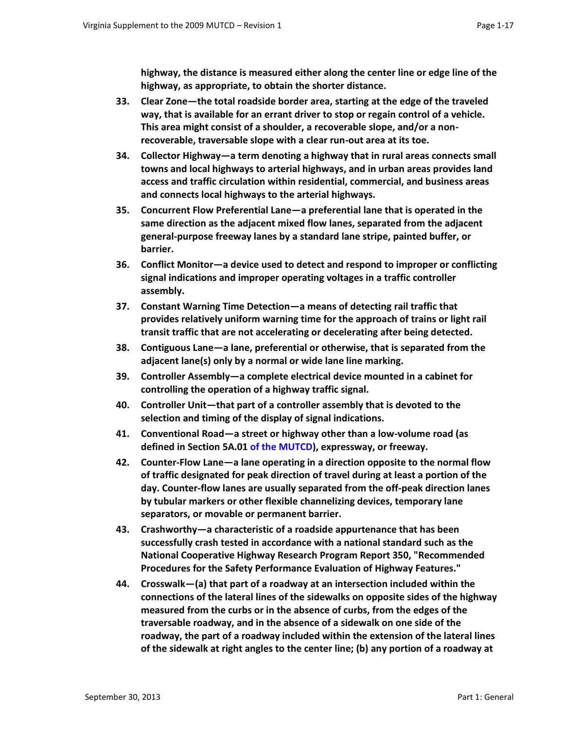**highway, the distance is measured either along the center line or edge line of the highway, as appropriate, to obtain the shorter distance.** 

- **33. Clear Zone—the total roadside border area, starting at the edge of the traveled way, that is available for an errant driver to stop or regain control of a vehicle. This area might consist of a shoulder, a recoverable slope, and/or a nonrecoverable, traversable slope with a clear run-out area at its toe.**
- **34. Collector Highway—a term denoting a highway that in rural areas connects small towns and local highways to arterial highways, and in urban areas provides land access and traffic circulation within residential, commercial, and business areas and connects local highways to the arterial highways.**
- **35. Concurrent Flow Preferential Lane—a preferential lane that is operated in the same direction as the adjacent mixed flow lanes, separated from the adjacent general-purpose freeway lanes by a standard lane stripe, painted buffer, or barrier.**
- **36. Conflict Monitor—a device used to detect and respond to improper or conflicting signal indications and improper operating voltages in a traffic controller assembly.**
- **37. Constant Warning Time Detection—a means of detecting rail traffic that provides relatively uniform warning time for the approach of trains or light rail transit traffic that are not accelerating or decelerating after being detected.**
- **38. Contiguous Lane—a lane, preferential or otherwise, that is separated from the adjacent lane(s) only by a normal or wide lane line marking.**
- **39. Controller Assembly—a complete electrical device mounted in a cabinet for controlling the operation of a highway traffic signal.**
- **40. Controller Unit—that part of a controller assembly that is devoted to the selection and timing of the display of signal indications.**
- **41. Conventional Road—a street or highway other than a low-volume road (as defined in Section 5A.01 of the MUTCD), expressway, or freeway.**
- **42. Counter-Flow Lane—a lane operating in a direction opposite to the normal flow of traffic designated for peak direction of travel during at least a portion of the day. Counter-flow lanes are usually separated from the off-peak direction lanes by tubular markers or other flexible channelizing devices, temporary lane separators, or movable or permanent barrier.**
- **43. Crashworthy—a characteristic of a roadside appurtenance that has been successfully crash tested in accordance with a national standard such as the National Cooperative Highway Research Program Report 350, "Recommended Procedures for the Safety Performance Evaluation of Highway Features."**
- **44. Crosswalk—(a) that part of a roadway at an intersection included within the connections of the lateral lines of the sidewalks on opposite sides of the highway measured from the curbs or in the absence of curbs, from the edges of the traversable roadway, and in the absence of a sidewalk on one side of the roadway, the part of a roadway included within the extension of the lateral lines of the sidewalk at right angles to the center line; (b) any portion of a roadway at**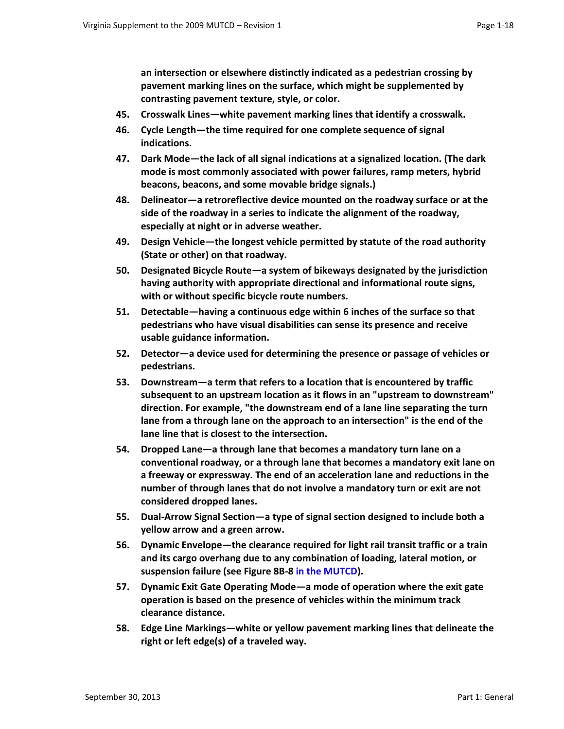**an intersection or elsewhere distinctly indicated as a pedestrian crossing by pavement marking lines on the surface, which might be supplemented by contrasting pavement texture, style, or color.** 

- **45. Crosswalk Lines—white pavement marking lines that identify a crosswalk.**
- **46. Cycle Length—the time required for one complete sequence of signal indications.**
- **47. Dark Mode—the lack of all signal indications at a signalized location. (The dark mode is most commonly associated with power failures, ramp meters, hybrid beacons, beacons, and some movable bridge signals.)**
- **48. Delineator—a retroreflective device mounted on the roadway surface or at the side of the roadway in a series to indicate the alignment of the roadway, especially at night or in adverse weather.**
- **49. Design Vehicle—the longest vehicle permitted by statute of the road authority (State or other) on that roadway.**
- **50. Designated Bicycle Route—a system of bikeways designated by the jurisdiction having authority with appropriate directional and informational route signs, with or without specific bicycle route numbers.**
- **51. Detectable—having a continuous edge within 6 inches of the surface so that pedestrians who have visual disabilities can sense its presence and receive usable guidance information.**
- **52. Detector—a device used for determining the presence or passage of vehicles or pedestrians.**
- **53. Downstream—a term that refers to a location that is encountered by traffic subsequent to an upstream location as it flows in an "upstream to downstream" direction. For example, "the downstream end of a lane line separating the turn lane from a through lane on the approach to an intersection" is the end of the lane line that is closest to the intersection.**
- **54. Dropped Lane—a through lane that becomes a mandatory turn lane on a conventional roadway, or a through lane that becomes a mandatory exit lane on a freeway or expressway. The end of an acceleration lane and reductions in the number of through lanes that do not involve a mandatory turn or exit are not considered dropped lanes.**
- **55. Dual-Arrow Signal Section—a type of signal section designed to include both a yellow arrow and a green arrow.**
- **56. Dynamic Envelope—the clearance required for light rail transit traffic or a train and its cargo overhang due to any combination of loading, lateral motion, or suspension failure (see Figure 8B-8 in the MUTCD).**
- **57. Dynamic Exit Gate Operating Mode—a mode of operation where the exit gate operation is based on the presence of vehicles within the minimum track clearance distance.**
- **58. Edge Line Markings—white or yellow pavement marking lines that delineate the right or left edge(s) of a traveled way.**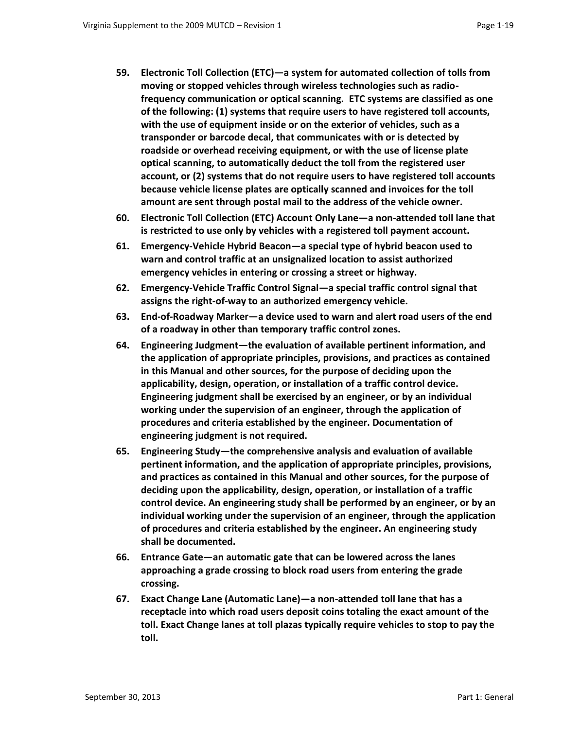- **59. Electronic Toll Collection (ETC)—a system for automated collection of tolls from moving or stopped vehicles through wireless technologies such as radiofrequency communication or optical scanning. ETC systems are classified as one of the following: (1) systems that require users to have registered toll accounts, with the use of equipment inside or on the exterior of vehicles, such as a transponder or barcode decal, that communicates with or is detected by roadside or overhead receiving equipment, or with the use of license plate optical scanning, to automatically deduct the toll from the registered user account, or (2) systems that do not require users to have registered toll accounts because vehicle license plates are optically scanned and invoices for the toll amount are sent through postal mail to the address of the vehicle owner.**
- **60. Electronic Toll Collection (ETC) Account Only Lane—a non-attended toll lane that is restricted to use only by vehicles with a registered toll payment account.**
- **61. Emergency-Vehicle Hybrid Beacon—a special type of hybrid beacon used to warn and control traffic at an unsignalized location to assist authorized emergency vehicles in entering or crossing a street or highway.**
- **62. Emergency-Vehicle Traffic Control Signal—a special traffic control signal that assigns the right-of-way to an authorized emergency vehicle.**
- **63. End-of-Roadway Marker—a device used to warn and alert road users of the end of a roadway in other than temporary traffic control zones.**
- **64. Engineering Judgment—the evaluation of available pertinent information, and the application of appropriate principles, provisions, and practices as contained in this Manual and other sources, for the purpose of deciding upon the applicability, design, operation, or installation of a traffic control device. Engineering judgment shall be exercised by an engineer, or by an individual working under the supervision of an engineer, through the application of procedures and criteria established by the engineer. Documentation of engineering judgment is not required.**
- **65. Engineering Study—the comprehensive analysis and evaluation of available pertinent information, and the application of appropriate principles, provisions, and practices as contained in this Manual and other sources, for the purpose of deciding upon the applicability, design, operation, or installation of a traffic control device. An engineering study shall be performed by an engineer, or by an individual working under the supervision of an engineer, through the application of procedures and criteria established by the engineer. An engineering study shall be documented.**
- **66. Entrance Gate—an automatic gate that can be lowered across the lanes approaching a grade crossing to block road users from entering the grade crossing.**
- **67. Exact Change Lane (Automatic Lane)—a non-attended toll lane that has a receptacle into which road users deposit coins totaling the exact amount of the toll. Exact Change lanes at toll plazas typically require vehicles to stop to pay the toll.**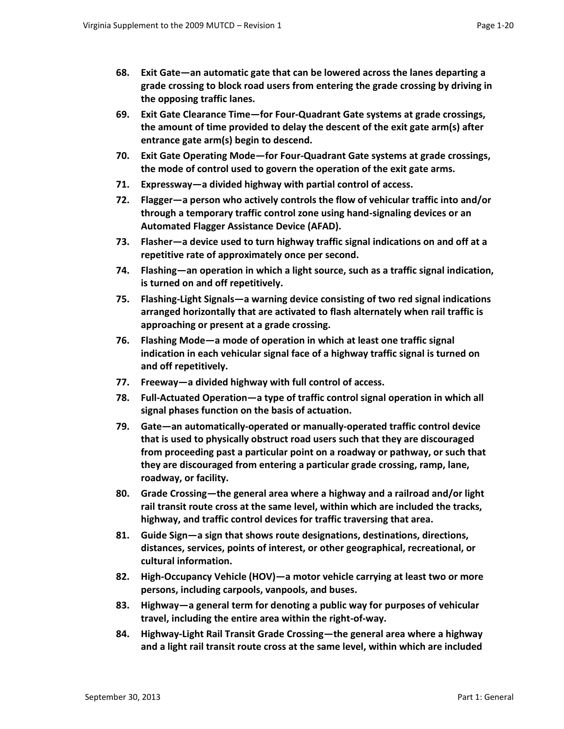- **68. Exit Gate—an automatic gate that can be lowered across the lanes departing a grade crossing to block road users from entering the grade crossing by driving in the opposing traffic lanes.**
- **69. Exit Gate Clearance Time—for Four-Quadrant Gate systems at grade crossings, the amount of time provided to delay the descent of the exit gate arm(s) after entrance gate arm(s) begin to descend.**
- **70. Exit Gate Operating Mode—for Four-Quadrant Gate systems at grade crossings, the mode of control used to govern the operation of the exit gate arms.**
- **71. Expressway—a divided highway with partial control of access.**
- **72. Flagger—a person who actively controls the flow of vehicular traffic into and/or through a temporary traffic control zone using hand-signaling devices or an Automated Flagger Assistance Device (AFAD).**
- **73. Flasher—a device used to turn highway traffic signal indications on and off at a repetitive rate of approximately once per second.**
- **74. Flashing—an operation in which a light source, such as a traffic signal indication, is turned on and off repetitively.**
- **75. Flashing-Light Signals—a warning device consisting of two red signal indications arranged horizontally that are activated to flash alternately when rail traffic is approaching or present at a grade crossing.**
- **76. Flashing Mode—a mode of operation in which at least one traffic signal indication in each vehicular signal face of a highway traffic signal is turned on and off repetitively.**
- **77. Freeway—a divided highway with full control of access.**
- **78. Full-Actuated Operation—a type of traffic control signal operation in which all signal phases function on the basis of actuation.**
- **79. Gate—an automatically-operated or manually-operated traffic control device that is used to physically obstruct road users such that they are discouraged from proceeding past a particular point on a roadway or pathway, or such that they are discouraged from entering a particular grade crossing, ramp, lane, roadway, or facility.**
- **80. Grade Crossing—the general area where a highway and a railroad and/or light rail transit route cross at the same level, within which are included the tracks, highway, and traffic control devices for traffic traversing that area.**
- **81. Guide Sign—a sign that shows route designations, destinations, directions, distances, services, points of interest, or other geographical, recreational, or cultural information.**
- **82. High-Occupancy Vehicle (HOV)—a motor vehicle carrying at least two or more persons, including carpools, vanpools, and buses.**
- **83. Highway—a general term for denoting a public way for purposes of vehicular travel, including the entire area within the right-of-way.**
- **84. Highway-Light Rail Transit Grade Crossing—the general area where a highway and a light rail transit route cross at the same level, within which are included**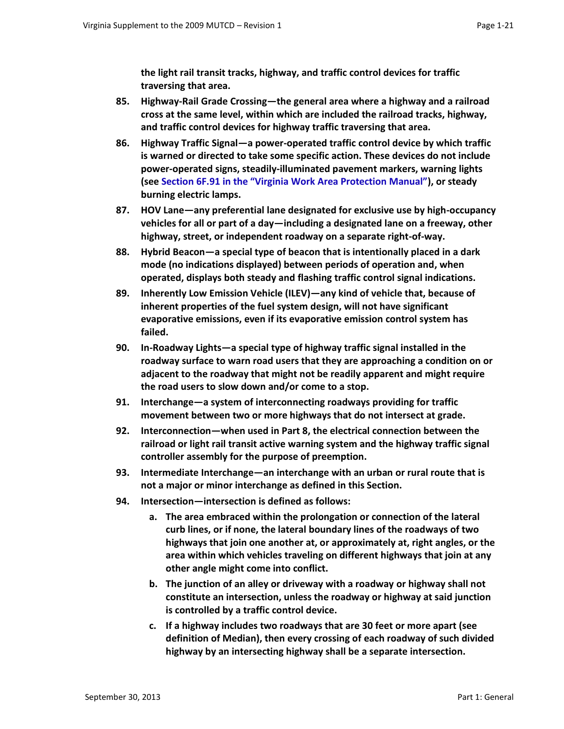**the light rail transit tracks, highway, and traffic control devices for traffic traversing that area.** 

- **85. Highway-Rail Grade Crossing—the general area where a highway and a railroad cross at the same level, within which are included the railroad tracks, highway, and traffic control devices for highway traffic traversing that area.**
- **86. Highway Traffic Signal—a power-operated traffic control device by which traffic is warned or directed to take some specific action. These devices do not include power-operated signs, steadily-illuminated pavement markers, warning lights (see Section 6F.91 in the "Virginia Work Area Protection Manual"), or steady burning electric lamps.**
- **87. HOV Lane—any preferential lane designated for exclusive use by high-occupancy vehicles for all or part of a day—including a designated lane on a freeway, other highway, street, or independent roadway on a separate right-of-way.**
- **88. Hybrid Beacon—a special type of beacon that is intentionally placed in a dark mode (no indications displayed) between periods of operation and, when operated, displays both steady and flashing traffic control signal indications.**
- **89. Inherently Low Emission Vehicle (ILEV)—any kind of vehicle that, because of inherent properties of the fuel system design, will not have significant evaporative emissions, even if its evaporative emission control system has failed.**
- **90. In-Roadway Lights—a special type of highway traffic signal installed in the roadway surface to warn road users that they are approaching a condition on or adjacent to the roadway that might not be readily apparent and might require the road users to slow down and/or come to a stop.**
- **91. Interchange—a system of interconnecting roadways providing for traffic movement between two or more highways that do not intersect at grade.**
- **92. Interconnection—when used in Part 8, the electrical connection between the railroad or light rail transit active warning system and the highway traffic signal controller assembly for the purpose of preemption.**
- **93. Intermediate Interchange—an interchange with an urban or rural route that is not a major or minor interchange as defined in this Section.**
- **94. Intersection—intersection is defined as follows:** 
	- **a. The area embraced within the prolongation or connection of the lateral curb lines, or if none, the lateral boundary lines of the roadways of two highways that join one another at, or approximately at, right angles, or the area within which vehicles traveling on different highways that join at any other angle might come into conflict.**
	- **b. The junction of an alley or driveway with a roadway or highway shall not constitute an intersection, unless the roadway or highway at said junction is controlled by a traffic control device.**
	- **c. If a highway includes two roadways that are 30 feet or more apart (see definition of Median), then every crossing of each roadway of such divided highway by an intersecting highway shall be a separate intersection.**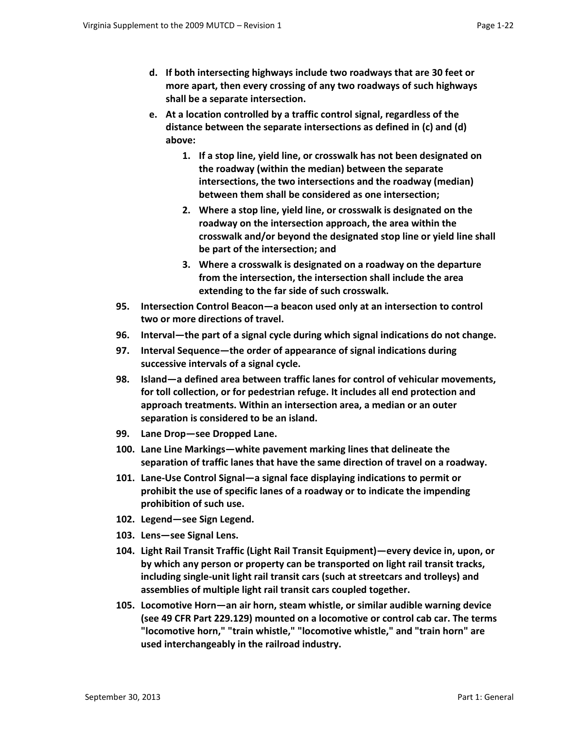- **d. If both intersecting highways include two roadways that are 30 feet or more apart, then every crossing of any two roadways of such highways shall be a separate intersection.**
- **e. At a location controlled by a traffic control signal, regardless of the distance between the separate intersections as defined in (c) and (d) above:** 
	- **1. If a stop line, yield line, or crosswalk has not been designated on the roadway (within the median) between the separate intersections, the two intersections and the roadway (median) between them shall be considered as one intersection;**
	- **2. Where a stop line, yield line, or crosswalk is designated on the roadway on the intersection approach, the area within the crosswalk and/or beyond the designated stop line or yield line shall be part of the intersection; and**
	- **3. Where a crosswalk is designated on a roadway on the departure from the intersection, the intersection shall include the area extending to the far side of such crosswalk.**
- **95. Intersection Control Beacon—a beacon used only at an intersection to control two or more directions of travel.**
- **96. Interval—the part of a signal cycle during which signal indications do not change.**
- **97. Interval Sequence—the order of appearance of signal indications during successive intervals of a signal cycle.**
- **98. Island—a defined area between traffic lanes for control of vehicular movements, for toll collection, or for pedestrian refuge. It includes all end protection and approach treatments. Within an intersection area, a median or an outer separation is considered to be an island.**
- **99. Lane Drop—see Dropped Lane.**
- **100. Lane Line Markings—white pavement marking lines that delineate the separation of traffic lanes that have the same direction of travel on a roadway.**
- **101. Lane-Use Control Signal—a signal face displaying indications to permit or prohibit the use of specific lanes of a roadway or to indicate the impending prohibition of such use.**
- **102. Legend—see Sign Legend.**
- **103. Lens—see Signal Lens.**
- **104. Light Rail Transit Traffic (Light Rail Transit Equipment)—every device in, upon, or by which any person or property can be transported on light rail transit tracks, including single-unit light rail transit cars (such at streetcars and trolleys) and assemblies of multiple light rail transit cars coupled together.**
- **105. Locomotive Horn—an air horn, steam whistle, or similar audible warning device (see 49 CFR Part 229.129) mounted on a locomotive or control cab car. The terms "locomotive horn," "train whistle," "locomotive whistle," and "train horn" are used interchangeably in the railroad industry.**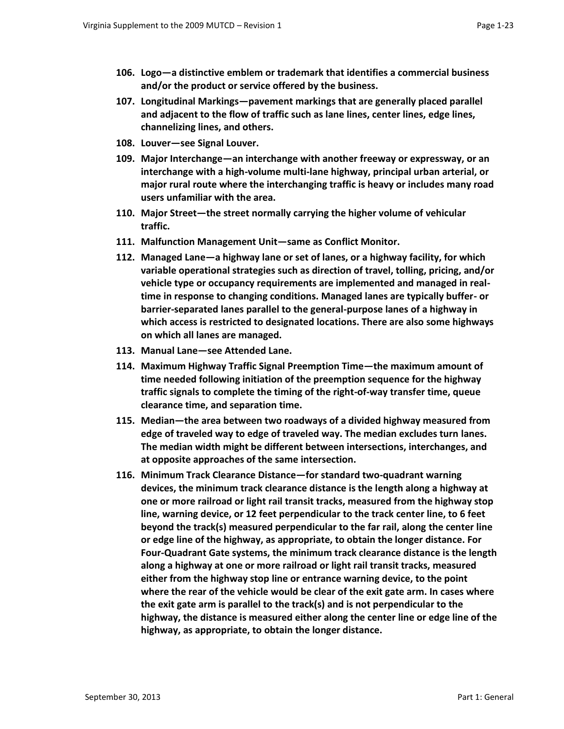- **106. Logo—a distinctive emblem or trademark that identifies a commercial business and/or the product or service offered by the business.**
- **107. Longitudinal Markings—pavement markings that are generally placed parallel and adjacent to the flow of traffic such as lane lines, center lines, edge lines, channelizing lines, and others.**
- **108. Louver—see Signal Louver.**
- **109. Major Interchange—an interchange with another freeway or expressway, or an interchange with a high-volume multi-lane highway, principal urban arterial, or major rural route where the interchanging traffic is heavy or includes many road users unfamiliar with the area.**
- **110. Major Street—the street normally carrying the higher volume of vehicular traffic.**
- **111. Malfunction Management Unit—same as Conflict Monitor.**
- **112. Managed Lane—a highway lane or set of lanes, or a highway facility, for which variable operational strategies such as direction of travel, tolling, pricing, and/or vehicle type or occupancy requirements are implemented and managed in realtime in response to changing conditions. Managed lanes are typically buffer- or barrier-separated lanes parallel to the general-purpose lanes of a highway in which access is restricted to designated locations. There are also some highways on which all lanes are managed.**
- **113. Manual Lane—see Attended Lane.**
- **114. Maximum Highway Traffic Signal Preemption Time—the maximum amount of time needed following initiation of the preemption sequence for the highway traffic signals to complete the timing of the right-of-way transfer time, queue clearance time, and separation time.**
- **115. Median—the area between two roadways of a divided highway measured from edge of traveled way to edge of traveled way. The median excludes turn lanes. The median width might be different between intersections, interchanges, and at opposite approaches of the same intersection.**
- **116. Minimum Track Clearance Distance—for standard two-quadrant warning devices, the minimum track clearance distance is the length along a highway at one or more railroad or light rail transit tracks, measured from the highway stop line, warning device, or 12 feet perpendicular to the track center line, to 6 feet beyond the track(s) measured perpendicular to the far rail, along the center line or edge line of the highway, as appropriate, to obtain the longer distance. For Four-Quadrant Gate systems, the minimum track clearance distance is the length along a highway at one or more railroad or light rail transit tracks, measured either from the highway stop line or entrance warning device, to the point where the rear of the vehicle would be clear of the exit gate arm. In cases where the exit gate arm is parallel to the track(s) and is not perpendicular to the highway, the distance is measured either along the center line or edge line of the highway, as appropriate, to obtain the longer distance.**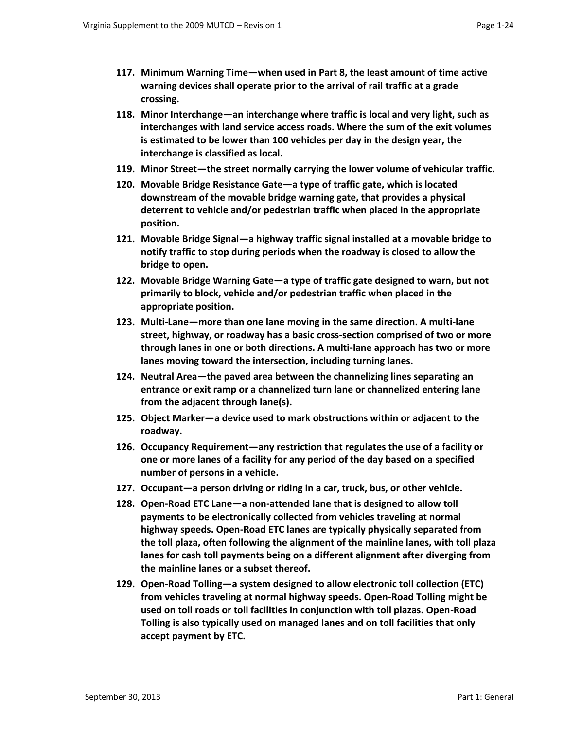- **117. Minimum Warning Time—when used in Part 8, the least amount of time active warning devices shall operate prior to the arrival of rail traffic at a grade crossing.**
- **118. Minor Interchange—an interchange where traffic is local and very light, such as interchanges with land service access roads. Where the sum of the exit volumes is estimated to be lower than 100 vehicles per day in the design year, the interchange is classified as local.**
- **119. Minor Street—the street normally carrying the lower volume of vehicular traffic.**
- **120. Movable Bridge Resistance Gate—a type of traffic gate, which is located downstream of the movable bridge warning gate, that provides a physical deterrent to vehicle and/or pedestrian traffic when placed in the appropriate position.**
- **121. Movable Bridge Signal—a highway traffic signal installed at a movable bridge to notify traffic to stop during periods when the roadway is closed to allow the bridge to open.**
- **122. Movable Bridge Warning Gate—a type of traffic gate designed to warn, but not primarily to block, vehicle and/or pedestrian traffic when placed in the appropriate position.**
- **123. Multi-Lane—more than one lane moving in the same direction. A multi-lane street, highway, or roadway has a basic cross-section comprised of two or more through lanes in one or both directions. A multi-lane approach has two or more lanes moving toward the intersection, including turning lanes.**
- **124. Neutral Area—the paved area between the channelizing lines separating an entrance or exit ramp or a channelized turn lane or channelized entering lane from the adjacent through lane(s).**
- **125. Object Marker—a device used to mark obstructions within or adjacent to the roadway.**
- **126. Occupancy Requirement—any restriction that regulates the use of a facility or one or more lanes of a facility for any period of the day based on a specified number of persons in a vehicle.**
- **127. Occupant—a person driving or riding in a car, truck, bus, or other vehicle.**
- **128. Open-Road ETC Lane—a non-attended lane that is designed to allow toll payments to be electronically collected from vehicles traveling at normal highway speeds. Open-Road ETC lanes are typically physically separated from the toll plaza, often following the alignment of the mainline lanes, with toll plaza lanes for cash toll payments being on a different alignment after diverging from the mainline lanes or a subset thereof.**
- **129. Open-Road Tolling—a system designed to allow electronic toll collection (ETC) from vehicles traveling at normal highway speeds. Open-Road Tolling might be used on toll roads or toll facilities in conjunction with toll plazas. Open-Road Tolling is also typically used on managed lanes and on toll facilities that only accept payment by ETC.**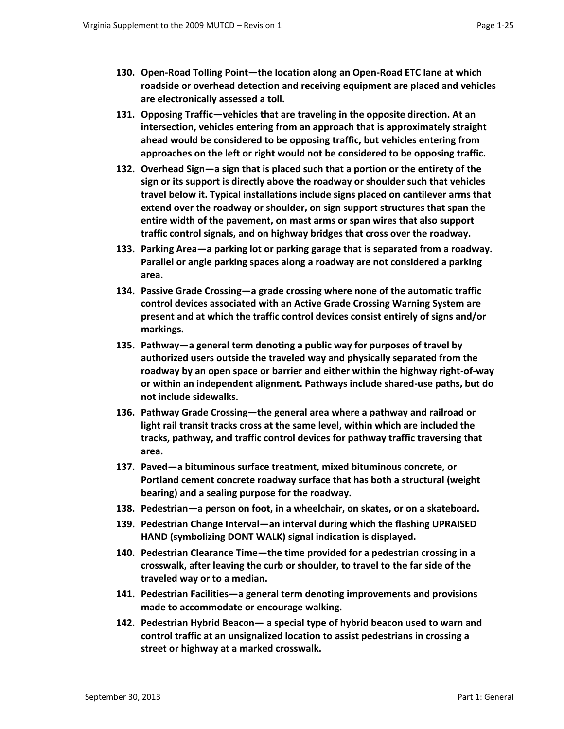- **130. Open-Road Tolling Point—the location along an Open-Road ETC lane at which roadside or overhead detection and receiving equipment are placed and vehicles are electronically assessed a toll.**
- **131. Opposing Traffic—vehicles that are traveling in the opposite direction. At an intersection, vehicles entering from an approach that is approximately straight ahead would be considered to be opposing traffic, but vehicles entering from approaches on the left or right would not be considered to be opposing traffic.**
- **132. Overhead Sign—a sign that is placed such that a portion or the entirety of the sign or its support is directly above the roadway or shoulder such that vehicles travel below it. Typical installations include signs placed on cantilever arms that extend over the roadway or shoulder, on sign support structures that span the entire width of the pavement, on mast arms or span wires that also support traffic control signals, and on highway bridges that cross over the roadway.**
- **133. Parking Area—a parking lot or parking garage that is separated from a roadway. Parallel or angle parking spaces along a roadway are not considered a parking area.**
- **134. Passive Grade Crossing—a grade crossing where none of the automatic traffic control devices associated with an Active Grade Crossing Warning System are present and at which the traffic control devices consist entirely of signs and/or markings.**
- **135. Pathway—a general term denoting a public way for purposes of travel by authorized users outside the traveled way and physically separated from the roadway by an open space or barrier and either within the highway right-of-way or within an independent alignment. Pathways include shared-use paths, but do not include sidewalks.**
- **136. Pathway Grade Crossing—the general area where a pathway and railroad or light rail transit tracks cross at the same level, within which are included the tracks, pathway, and traffic control devices for pathway traffic traversing that area.**
- **137. Paved—a bituminous surface treatment, mixed bituminous concrete, or Portland cement concrete roadway surface that has both a structural (weight bearing) and a sealing purpose for the roadway.**
- **138. Pedestrian—a person on foot, in a wheelchair, on skates, or on a skateboard.**
- **139. Pedestrian Change Interval—an interval during which the flashing UPRAISED HAND (symbolizing DONT WALK) signal indication is displayed.**
- **140. Pedestrian Clearance Time—the time provided for a pedestrian crossing in a crosswalk, after leaving the curb or shoulder, to travel to the far side of the traveled way or to a median.**
- **141. Pedestrian Facilities—a general term denoting improvements and provisions made to accommodate or encourage walking.**
- **142. Pedestrian Hybrid Beacon— a special type of hybrid beacon used to warn and control traffic at an unsignalized location to assist pedestrians in crossing a street or highway at a marked crosswalk.**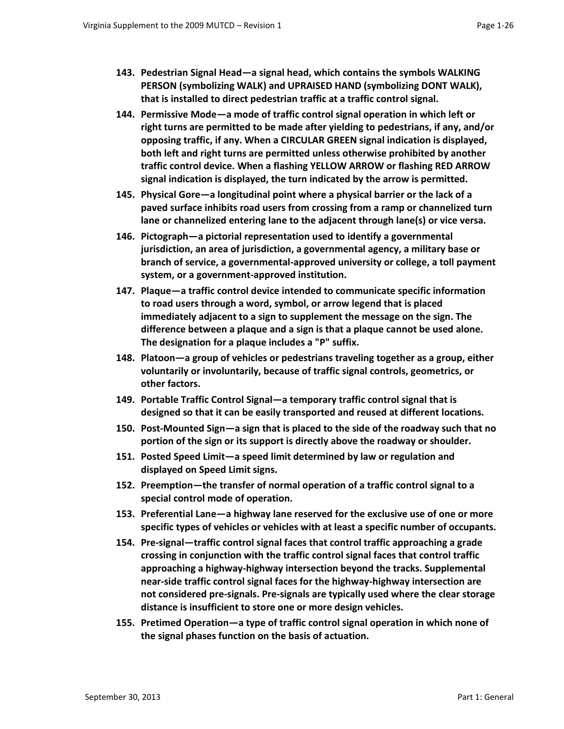- **143. Pedestrian Signal Head—a signal head, which contains the symbols WALKING PERSON (symbolizing WALK) and UPRAISED HAND (symbolizing DONT WALK), that is installed to direct pedestrian traffic at a traffic control signal.**
- **144. Permissive Mode—a mode of traffic control signal operation in which left or right turns are permitted to be made after yielding to pedestrians, if any, and/or opposing traffic, if any. When a CIRCULAR GREEN signal indication is displayed, both left and right turns are permitted unless otherwise prohibited by another traffic control device. When a flashing YELLOW ARROW or flashing RED ARROW signal indication is displayed, the turn indicated by the arrow is permitted.**
- **145. Physical Gore—a longitudinal point where a physical barrier or the lack of a paved surface inhibits road users from crossing from a ramp or channelized turn lane or channelized entering lane to the adjacent through lane(s) or vice versa.**
- **146. Pictograph—a pictorial representation used to identify a governmental jurisdiction, an area of jurisdiction, a governmental agency, a military base or branch of service, a governmental-approved university or college, a toll payment system, or a government-approved institution.**
- **147. Plaque—a traffic control device intended to communicate specific information to road users through a word, symbol, or arrow legend that is placed immediately adjacent to a sign to supplement the message on the sign. The difference between a plaque and a sign is that a plaque cannot be used alone. The designation for a plaque includes a "P" suffix.**
- **148. Platoon—a group of vehicles or pedestrians traveling together as a group, either voluntarily or involuntarily, because of traffic signal controls, geometrics, or other factors.**
- **149. Portable Traffic Control Signal—a temporary traffic control signal that is designed so that it can be easily transported and reused at different locations.**
- **150. Post-Mounted Sign—a sign that is placed to the side of the roadway such that no portion of the sign or its support is directly above the roadway or shoulder.**
- **151. Posted Speed Limit—a speed limit determined by law or regulation and displayed on Speed Limit signs.**
- **152. Preemption—the transfer of normal operation of a traffic control signal to a special control mode of operation.**
- **153. Preferential Lane—a highway lane reserved for the exclusive use of one or more specific types of vehicles or vehicles with at least a specific number of occupants.**
- **154. Pre-signal—traffic control signal faces that control traffic approaching a grade crossing in conjunction with the traffic control signal faces that control traffic approaching a highway-highway intersection beyond the tracks. Supplemental near-side traffic control signal faces for the highway-highway intersection are not considered pre-signals. Pre-signals are typically used where the clear storage distance is insufficient to store one or more design vehicles.**
- **155. Pretimed Operation—a type of traffic control signal operation in which none of the signal phases function on the basis of actuation.**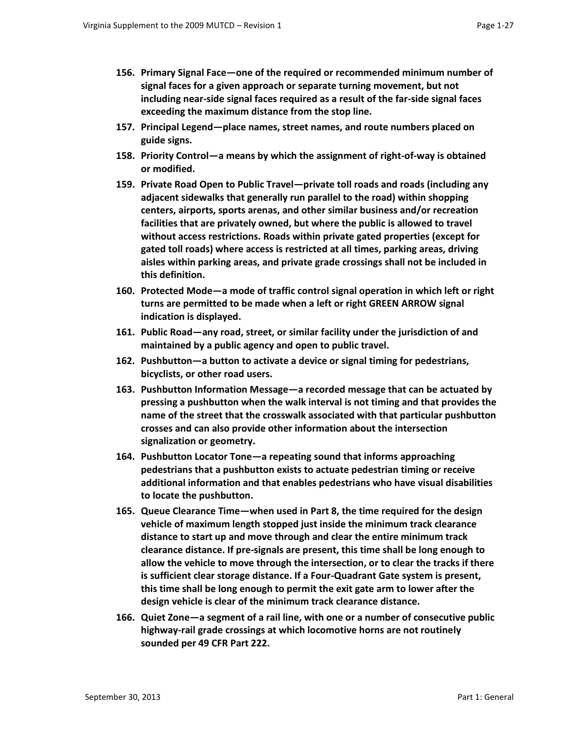- **156. Primary Signal Face—one of the required or recommended minimum number of signal faces for a given approach or separate turning movement, but not including near-side signal faces required as a result of the far-side signal faces exceeding the maximum distance from the stop line.**
- **157. Principal Legend—place names, street names, and route numbers placed on guide signs.**
- **158. Priority Control—a means by which the assignment of right-of-way is obtained or modified.**
- **159. Private Road Open to Public Travel—private toll roads and roads (including any adjacent sidewalks that generally run parallel to the road) within shopping centers, airports, sports arenas, and other similar business and/or recreation facilities that are privately owned, but where the public is allowed to travel without access restrictions. Roads within private gated properties (except for gated toll roads) where access is restricted at all times, parking areas, driving aisles within parking areas, and private grade crossings shall not be included in this definition.**
- **160. Protected Mode—a mode of traffic control signal operation in which left or right turns are permitted to be made when a left or right GREEN ARROW signal indication is displayed.**
- **161. Public Road—any road, street, or similar facility under the jurisdiction of and maintained by a public agency and open to public travel.**
- **162. Pushbutton—a button to activate a device or signal timing for pedestrians, bicyclists, or other road users.**
- **163. Pushbutton Information Message—a recorded message that can be actuated by pressing a pushbutton when the walk interval is not timing and that provides the name of the street that the crosswalk associated with that particular pushbutton crosses and can also provide other information about the intersection signalization or geometry.**
- **164. Pushbutton Locator Tone—a repeating sound that informs approaching pedestrians that a pushbutton exists to actuate pedestrian timing or receive additional information and that enables pedestrians who have visual disabilities to locate the pushbutton.**
- **165. Queue Clearance Time—when used in Part 8, the time required for the design vehicle of maximum length stopped just inside the minimum track clearance distance to start up and move through and clear the entire minimum track clearance distance. If pre-signals are present, this time shall be long enough to allow the vehicle to move through the intersection, or to clear the tracks if there is sufficient clear storage distance. If a Four-Quadrant Gate system is present, this time shall be long enough to permit the exit gate arm to lower after the design vehicle is clear of the minimum track clearance distance.**
- **166. Quiet Zone—a segment of a rail line, with one or a number of consecutive public highway-rail grade crossings at which locomotive horns are not routinely sounded per 49 CFR Part 222.**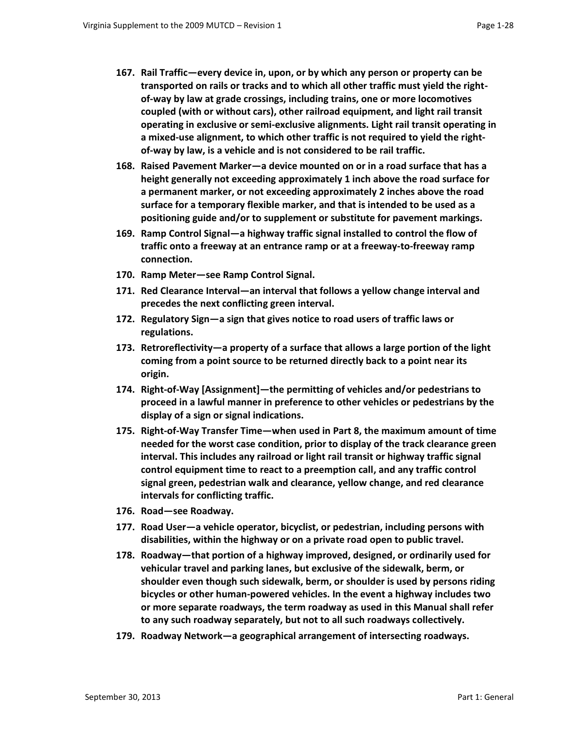- **167. Rail Traffic—every device in, upon, or by which any person or property can be transported on rails or tracks and to which all other traffic must yield the rightof-way by law at grade crossings, including trains, one or more locomotives coupled (with or without cars), other railroad equipment, and light rail transit operating in exclusive or semi-exclusive alignments. Light rail transit operating in a mixed-use alignment, to which other traffic is not required to yield the rightof-way by law, is a vehicle and is not considered to be rail traffic.**
- **168. Raised Pavement Marker—a device mounted on or in a road surface that has a height generally not exceeding approximately 1 inch above the road surface for a permanent marker, or not exceeding approximately 2 inches above the road surface for a temporary flexible marker, and that is intended to be used as a positioning guide and/or to supplement or substitute for pavement markings.**
- **169. Ramp Control Signal—a highway traffic signal installed to control the flow of traffic onto a freeway at an entrance ramp or at a freeway-to-freeway ramp connection.**
- **170. Ramp Meter—see Ramp Control Signal.**
- **171. Red Clearance Interval—an interval that follows a yellow change interval and precedes the next conflicting green interval.**
- **172. Regulatory Sign—a sign that gives notice to road users of traffic laws or regulations.**
- **173. Retroreflectivity—a property of a surface that allows a large portion of the light coming from a point source to be returned directly back to a point near its origin.**
- **174. Right-of-Way [Assignment]—the permitting of vehicles and/or pedestrians to proceed in a lawful manner in preference to other vehicles or pedestrians by the display of a sign or signal indications.**
- **175. Right-of-Way Transfer Time—when used in Part 8, the maximum amount of time needed for the worst case condition, prior to display of the track clearance green interval. This includes any railroad or light rail transit or highway traffic signal control equipment time to react to a preemption call, and any traffic control signal green, pedestrian walk and clearance, yellow change, and red clearance intervals for conflicting traffic.**
- **176. Road—see Roadway.**
- **177. Road User—a vehicle operator, bicyclist, or pedestrian, including persons with disabilities, within the highway or on a private road open to public travel.**
- **178. Roadway—that portion of a highway improved, designed, or ordinarily used for vehicular travel and parking lanes, but exclusive of the sidewalk, berm, or shoulder even though such sidewalk, berm, or shoulder is used by persons riding bicycles or other human-powered vehicles. In the event a highway includes two or more separate roadways, the term roadway as used in this Manual shall refer to any such roadway separately, but not to all such roadways collectively.**
- **179. Roadway Network—a geographical arrangement of intersecting roadways.**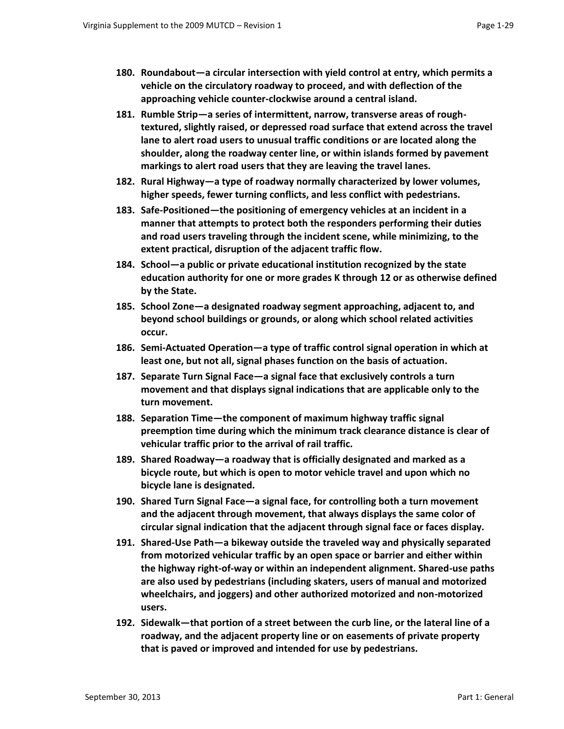- **180. Roundabout—a circular intersection with yield control at entry, which permits a vehicle on the circulatory roadway to proceed, and with deflection of the approaching vehicle counter-clockwise around a central island.**
- **181. Rumble Strip—a series of intermittent, narrow, transverse areas of roughtextured, slightly raised, or depressed road surface that extend across the travel lane to alert road users to unusual traffic conditions or are located along the shoulder, along the roadway center line, or within islands formed by pavement markings to alert road users that they are leaving the travel lanes.**
- **182. Rural Highway—a type of roadway normally characterized by lower volumes, higher speeds, fewer turning conflicts, and less conflict with pedestrians.**
- **183. Safe-Positioned—the positioning of emergency vehicles at an incident in a manner that attempts to protect both the responders performing their duties and road users traveling through the incident scene, while minimizing, to the extent practical, disruption of the adjacent traffic flow.**
- **184. School—a public or private educational institution recognized by the state education authority for one or more grades K through 12 or as otherwise defined by the State.**
- **185. School Zone—a designated roadway segment approaching, adjacent to, and beyond school buildings or grounds, or along which school related activities occur.**
- **186. Semi-Actuated Operation—a type of traffic control signal operation in which at least one, but not all, signal phases function on the basis of actuation.**
- **187. Separate Turn Signal Face—a signal face that exclusively controls a turn movement and that displays signal indications that are applicable only to the turn movement.**
- **188. Separation Time—the component of maximum highway traffic signal preemption time during which the minimum track clearance distance is clear of vehicular traffic prior to the arrival of rail traffic.**
- **189. Shared Roadway—a roadway that is officially designated and marked as a bicycle route, but which is open to motor vehicle travel and upon which no bicycle lane is designated.**
- **190. Shared Turn Signal Face—a signal face, for controlling both a turn movement and the adjacent through movement, that always displays the same color of circular signal indication that the adjacent through signal face or faces display.**
- **191. Shared-Use Path—a bikeway outside the traveled way and physically separated from motorized vehicular traffic by an open space or barrier and either within the highway right-of-way or within an independent alignment. Shared-use paths are also used by pedestrians (including skaters, users of manual and motorized wheelchairs, and joggers) and other authorized motorized and non-motorized users.**
- **192. Sidewalk—that portion of a street between the curb line, or the lateral line of a roadway, and the adjacent property line or on easements of private property that is paved or improved and intended for use by pedestrians.**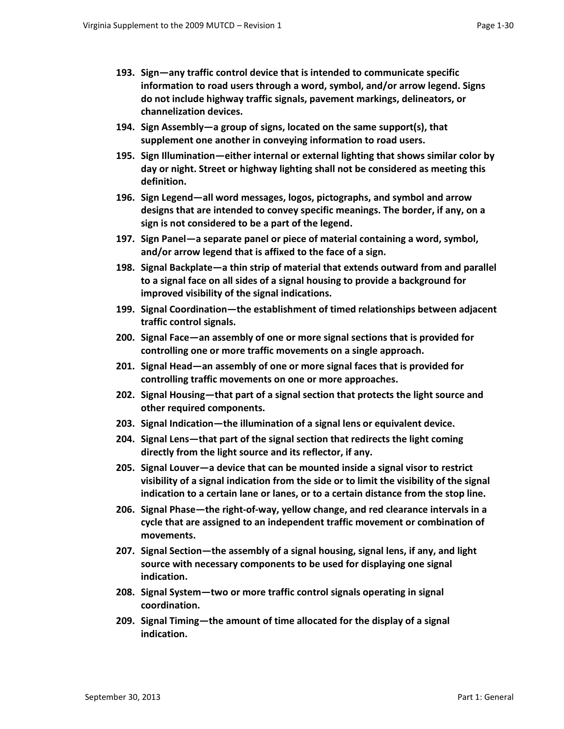- **193. Sign—any traffic control device that is intended to communicate specific information to road users through a word, symbol, and/or arrow legend. Signs do not include highway traffic signals, pavement markings, delineators, or channelization devices.**
- **194. Sign Assembly—a group of signs, located on the same support(s), that supplement one another in conveying information to road users.**
- **195. Sign Illumination—either internal or external lighting that shows similar color by day or night. Street or highway lighting shall not be considered as meeting this definition.**
- **196. Sign Legend—all word messages, logos, pictographs, and symbol and arrow designs that are intended to convey specific meanings. The border, if any, on a sign is not considered to be a part of the legend.**
- **197. Sign Panel—a separate panel or piece of material containing a word, symbol, and/or arrow legend that is affixed to the face of a sign.**
- **198. Signal Backplate—a thin strip of material that extends outward from and parallel to a signal face on all sides of a signal housing to provide a background for improved visibility of the signal indications.**
- **199. Signal Coordination—the establishment of timed relationships between adjacent traffic control signals.**
- **200. Signal Face—an assembly of one or more signal sections that is provided for controlling one or more traffic movements on a single approach.**
- **201. Signal Head—an assembly of one or more signal faces that is provided for controlling traffic movements on one or more approaches.**
- **202. Signal Housing—that part of a signal section that protects the light source and other required components.**
- **203. Signal Indication—the illumination of a signal lens or equivalent device.**
- **204. Signal Lens—that part of the signal section that redirects the light coming directly from the light source and its reflector, if any.**
- **205. Signal Louver—a device that can be mounted inside a signal visor to restrict visibility of a signal indication from the side or to limit the visibility of the signal indication to a certain lane or lanes, or to a certain distance from the stop line.**
- **206. Signal Phase—the right-of-way, yellow change, and red clearance intervals in a cycle that are assigned to an independent traffic movement or combination of movements.**
- **207. Signal Section—the assembly of a signal housing, signal lens, if any, and light source with necessary components to be used for displaying one signal indication.**
- **208. Signal System—two or more traffic control signals operating in signal coordination.**
- **209. Signal Timing—the amount of time allocated for the display of a signal indication.**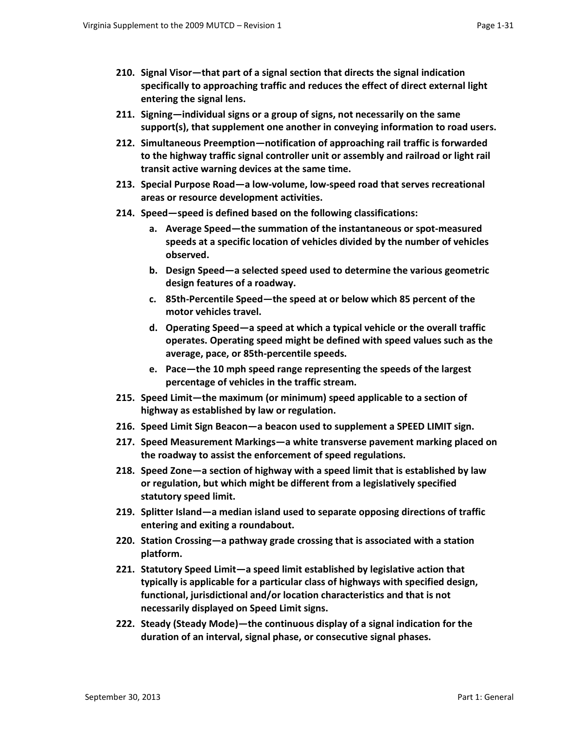- **210. Signal Visor—that part of a signal section that directs the signal indication specifically to approaching traffic and reduces the effect of direct external light entering the signal lens.**
- **211. Signing—individual signs or a group of signs, not necessarily on the same support(s), that supplement one another in conveying information to road users.**
- **212. Simultaneous Preemption—notification of approaching rail traffic is forwarded to the highway traffic signal controller unit or assembly and railroad or light rail transit active warning devices at the same time.**
- **213. Special Purpose Road—a low-volume, low-speed road that serves recreational areas or resource development activities.**
- **214. Speed—speed is defined based on the following classifications:** 
	- **a. Average Speed—the summation of the instantaneous or spot-measured speeds at a specific location of vehicles divided by the number of vehicles observed.**
	- **b. Design Speed—a selected speed used to determine the various geometric design features of a roadway.**
	- **c. 85th-Percentile Speed—the speed at or below which 85 percent of the motor vehicles travel.**
	- **d. Operating Speed—a speed at which a typical vehicle or the overall traffic operates. Operating speed might be defined with speed values such as the average, pace, or 85th-percentile speeds.**
	- **e. Pace—the 10 mph speed range representing the speeds of the largest percentage of vehicles in the traffic stream.**
- **215. Speed Limit—the maximum (or minimum) speed applicable to a section of highway as established by law or regulation.**
- **216. Speed Limit Sign Beacon—a beacon used to supplement a SPEED LIMIT sign.**
- **217. Speed Measurement Markings—a white transverse pavement marking placed on the roadway to assist the enforcement of speed regulations.**
- **218. Speed Zone—a section of highway with a speed limit that is established by law or regulation, but which might be different from a legislatively specified statutory speed limit.**
- **219. Splitter Island—a median island used to separate opposing directions of traffic entering and exiting a roundabout.**
- **220. Station Crossing—a pathway grade crossing that is associated with a station platform.**
- **221. Statutory Speed Limit—a speed limit established by legislative action that typically is applicable for a particular class of highways with specified design, functional, jurisdictional and/or location characteristics and that is not necessarily displayed on Speed Limit signs.**
- **222. Steady (Steady Mode)—the continuous display of a signal indication for the duration of an interval, signal phase, or consecutive signal phases.**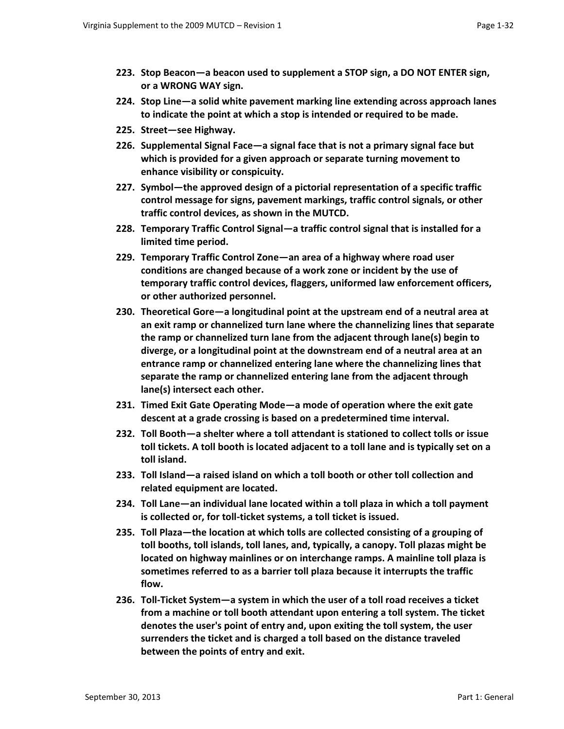- **223. Stop Beacon—a beacon used to supplement a STOP sign, a DO NOT ENTER sign, or a WRONG WAY sign.**
- **224. Stop Line—a solid white pavement marking line extending across approach lanes to indicate the point at which a stop is intended or required to be made.**
- **225. Street—see Highway.**
- **226. Supplemental Signal Face—a signal face that is not a primary signal face but which is provided for a given approach or separate turning movement to enhance visibility or conspicuity.**
- **227. Symbol—the approved design of a pictorial representation of a specific traffic control message for signs, pavement markings, traffic control signals, or other traffic control devices, as shown in the MUTCD.**
- **228. Temporary Traffic Control Signal—a traffic control signal that is installed for a limited time period.**
- **229. Temporary Traffic Control Zone—an area of a highway where road user conditions are changed because of a work zone or incident by the use of temporary traffic control devices, flaggers, uniformed law enforcement officers, or other authorized personnel.**
- **230. Theoretical Gore—a longitudinal point at the upstream end of a neutral area at an exit ramp or channelized turn lane where the channelizing lines that separate the ramp or channelized turn lane from the adjacent through lane(s) begin to diverge, or a longitudinal point at the downstream end of a neutral area at an entrance ramp or channelized entering lane where the channelizing lines that separate the ramp or channelized entering lane from the adjacent through lane(s) intersect each other.**
- **231. Timed Exit Gate Operating Mode—a mode of operation where the exit gate descent at a grade crossing is based on a predetermined time interval.**
- **232. Toll Booth—a shelter where a toll attendant is stationed to collect tolls or issue toll tickets. A toll booth is located adjacent to a toll lane and is typically set on a toll island.**
- **233. Toll Island—a raised island on which a toll booth or other toll collection and related equipment are located.**
- **234. Toll Lane—an individual lane located within a toll plaza in which a toll payment is collected or, for toll-ticket systems, a toll ticket is issued.**
- **235. Toll Plaza—the location at which tolls are collected consisting of a grouping of toll booths, toll islands, toll lanes, and, typically, a canopy. Toll plazas might be located on highway mainlines or on interchange ramps. A mainline toll plaza is sometimes referred to as a barrier toll plaza because it interrupts the traffic flow.**
- **236. Toll-Ticket System—a system in which the user of a toll road receives a ticket from a machine or toll booth attendant upon entering a toll system. The ticket denotes the user's point of entry and, upon exiting the toll system, the user surrenders the ticket and is charged a toll based on the distance traveled between the points of entry and exit.**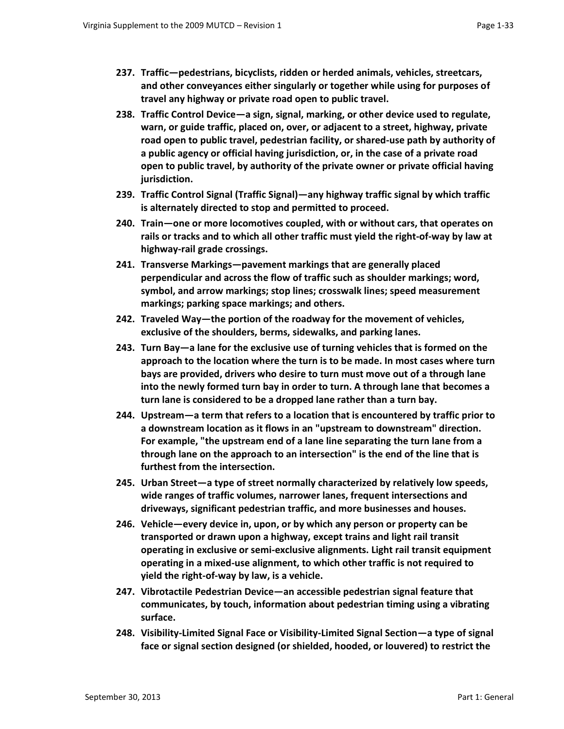- **237. Traffic—pedestrians, bicyclists, ridden or herded animals, vehicles, streetcars, and other conveyances either singularly or together while using for purposes of travel any highway or private road open to public travel.**
- **238. Traffic Control Device—a sign, signal, marking, or other device used to regulate, warn, or guide traffic, placed on, over, or adjacent to a street, highway, private road open to public travel, pedestrian facility, or shared-use path by authority of a public agency or official having jurisdiction, or, in the case of a private road open to public travel, by authority of the private owner or private official having jurisdiction.**
- **239. Traffic Control Signal (Traffic Signal)—any highway traffic signal by which traffic is alternately directed to stop and permitted to proceed.**
- **240. Train—one or more locomotives coupled, with or without cars, that operates on rails or tracks and to which all other traffic must yield the right-of-way by law at highway-rail grade crossings.**
- **241. Transverse Markings—pavement markings that are generally placed perpendicular and across the flow of traffic such as shoulder markings; word, symbol, and arrow markings; stop lines; crosswalk lines; speed measurement markings; parking space markings; and others.**
- **242. Traveled Way—the portion of the roadway for the movement of vehicles, exclusive of the shoulders, berms, sidewalks, and parking lanes.**
- **243. Turn Bay—a lane for the exclusive use of turning vehicles that is formed on the approach to the location where the turn is to be made. In most cases where turn bays are provided, drivers who desire to turn must move out of a through lane into the newly formed turn bay in order to turn. A through lane that becomes a turn lane is considered to be a dropped lane rather than a turn bay.**
- **244. Upstream—a term that refers to a location that is encountered by traffic prior to a downstream location as it flows in an "upstream to downstream" direction. For example, "the upstream end of a lane line separating the turn lane from a through lane on the approach to an intersection" is the end of the line that is furthest from the intersection.**
- **245. Urban Street—a type of street normally characterized by relatively low speeds, wide ranges of traffic volumes, narrower lanes, frequent intersections and driveways, significant pedestrian traffic, and more businesses and houses.**
- **246. Vehicle—every device in, upon, or by which any person or property can be transported or drawn upon a highway, except trains and light rail transit operating in exclusive or semi-exclusive alignments. Light rail transit equipment operating in a mixed-use alignment, to which other traffic is not required to yield the right-of-way by law, is a vehicle.**
- **247. Vibrotactile Pedestrian Device—an accessible pedestrian signal feature that communicates, by touch, information about pedestrian timing using a vibrating surface.**
- **248. Visibility-Limited Signal Face or Visibility-Limited Signal Section—a type of signal face or signal section designed (or shielded, hooded, or louvered) to restrict the**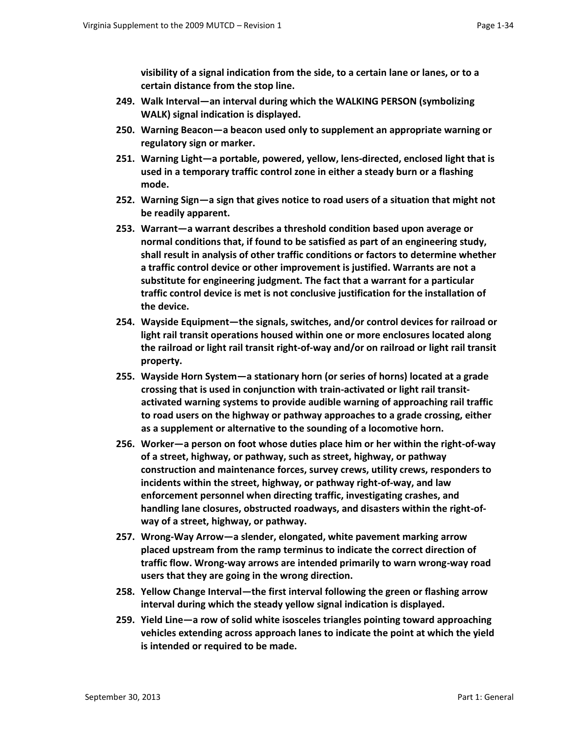**visibility of a signal indication from the side, to a certain lane or lanes, or to a certain distance from the stop line.** 

- **249. Walk Interval—an interval during which the WALKING PERSON (symbolizing WALK) signal indication is displayed.**
- **250. Warning Beacon—a beacon used only to supplement an appropriate warning or regulatory sign or marker.**
- **251. Warning Light—a portable, powered, yellow, lens-directed, enclosed light that is used in a temporary traffic control zone in either a steady burn or a flashing mode.**
- **252. Warning Sign—a sign that gives notice to road users of a situation that might not be readily apparent.**
- **253. Warrant—a warrant describes a threshold condition based upon average or normal conditions that, if found to be satisfied as part of an engineering study, shall result in analysis of other traffic conditions or factors to determine whether a traffic control device or other improvement is justified. Warrants are not a substitute for engineering judgment. The fact that a warrant for a particular traffic control device is met is not conclusive justification for the installation of the device.**
- **254. Wayside Equipment—the signals, switches, and/or control devices for railroad or light rail transit operations housed within one or more enclosures located along the railroad or light rail transit right-of-way and/or on railroad or light rail transit property.**
- **255. Wayside Horn System—a stationary horn (or series of horns) located at a grade crossing that is used in conjunction with train-activated or light rail transitactivated warning systems to provide audible warning of approaching rail traffic to road users on the highway or pathway approaches to a grade crossing, either as a supplement or alternative to the sounding of a locomotive horn.**
- **256. Worker—a person on foot whose duties place him or her within the right-of-way of a street, highway, or pathway, such as street, highway, or pathway construction and maintenance forces, survey crews, utility crews, responders to incidents within the street, highway, or pathway right-of-way, and law enforcement personnel when directing traffic, investigating crashes, and handling lane closures, obstructed roadways, and disasters within the right-ofway of a street, highway, or pathway.**
- **257. Wrong-Way Arrow—a slender, elongated, white pavement marking arrow placed upstream from the ramp terminus to indicate the correct direction of traffic flow. Wrong-way arrows are intended primarily to warn wrong-way road users that they are going in the wrong direction.**
- **258. Yellow Change Interval—the first interval following the green or flashing arrow interval during which the steady yellow signal indication is displayed.**
- **259. Yield Line—a row of solid white isosceles triangles pointing toward approaching vehicles extending across approach lanes to indicate the point at which the yield is intended or required to be made.**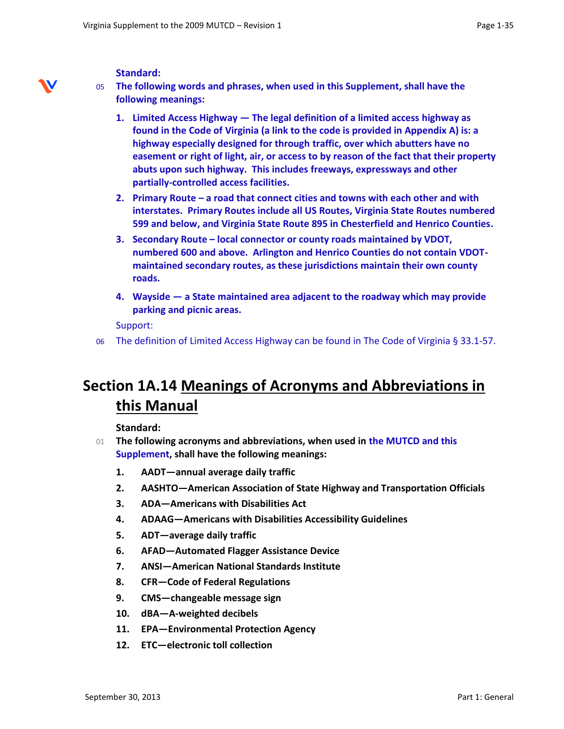**Standard:**

05 **The following words and phrases, when used in this Supplement, shall have the following meanings:**

- **1. Limited Access Highway — The legal definition of a limited access highway as found in the Code of Virginia (a link to the code is provided in Appendix A) is: a highway especially designed for through traffic, over which abutters have no easement or right of light, air, or access to by reason of the fact that their property abuts upon such highway. This includes freeways, expressways and other partially-controlled access facilities.**
- **2. Primary Route – a road that connect cities and towns with each other and with interstates. Primary Routes include all US Routes, Virginia State Routes numbered 599 and below, and Virginia State Route 895 in Chesterfield and Henrico Counties.**
- **3. Secondary Route – local connector or county roads maintained by VDOT, numbered 600 and above. Arlington and Henrico Counties do not contain VDOTmaintained secondary routes, as these jurisdictions maintain their own county roads.**
- **4. Wayside — a State maintained area adjacent to the roadway which may provide parking and picnic areas.**

Support:

06 The definition of Limited Access Highway can be found in The Code of Virginia § 33.1-57.

## **Section 1A.14 Meanings of Acronyms and Abbreviations in this Manual**

**Standard:**

- 01 **The following acronyms and abbreviations, when used in the MUTCD and this Supplement, shall have the following meanings:**
	- **1. AADT—annual average daily traffic**
	- **2. AASHTO—American Association of State Highway and Transportation Officials**
	- **3. ADA—Americans with Disabilities Act**
	- **4. ADAAG—Americans with Disabilities Accessibility Guidelines**
	- **5. ADT—average daily traffic**
	- **6. AFAD—Automated Flagger Assistance Device**
	- **7. ANSI—American National Standards Institute**
	- **8. CFR—Code of Federal Regulations**
	- **9. CMS—changeable message sign**
	- **10. dBA—A-weighted decibels**
	- **11. EPA—Environmental Protection Agency**
	- **12. ETC—electronic toll collection**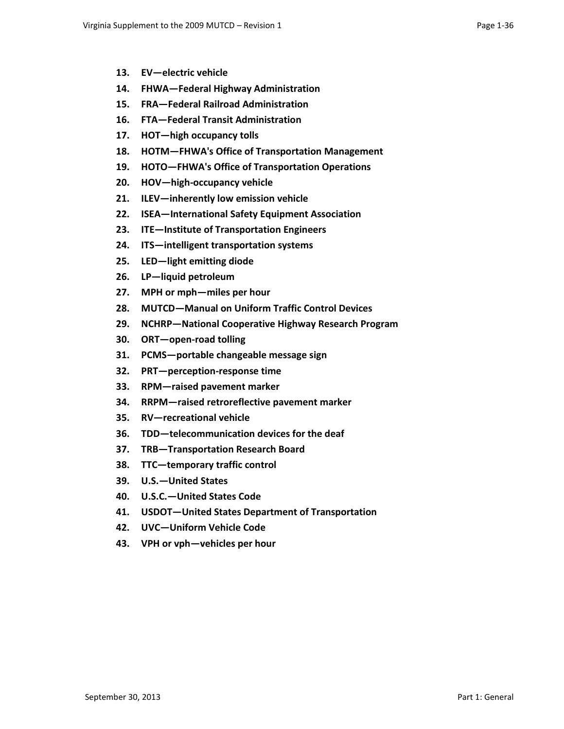- **13. EV—electric vehicle**
- **14. FHWA—Federal Highway Administration**
- **15. FRA—Federal Railroad Administration**
- **16. FTA—Federal Transit Administration**
- **17. HOT—high occupancy tolls**
- **18. HOTM—FHWA's Office of Transportation Management**
- **19. HOTO—FHWA's Office of Transportation Operations**
- **20. HOV—high-occupancy vehicle**
- **21. ILEV—inherently low emission vehicle**
- **22. ISEA—International Safety Equipment Association**
- **23. ITE—Institute of Transportation Engineers**
- **24. ITS—intelligent transportation systems**
- **25. LED—light emitting diode**
- **26. LP—liquid petroleum**
- **27. MPH or mph—miles per hour**
- **28. MUTCD—Manual on Uniform Traffic Control Devices**
- **29. NCHRP—National Cooperative Highway Research Program**
- **30. ORT—open-road tolling**
- **31. PCMS—portable changeable message sign**
- **32. PRT—perception-response time**
- **33. RPM—raised pavement marker**
- **34. RRPM—raised retroreflective pavement marker**
- **35. RV—recreational vehicle**
- **36. TDD—telecommunication devices for the deaf**
- **37. TRB—Transportation Research Board**
- **38. TTC—temporary traffic control**
- **39. U.S.—United States**
- **40. U.S.C.—United States Code**
- **41. USDOT—United States Department of Transportation**
- **42. UVC—Uniform Vehicle Code**
- **43. VPH or vph—vehicles per hour**